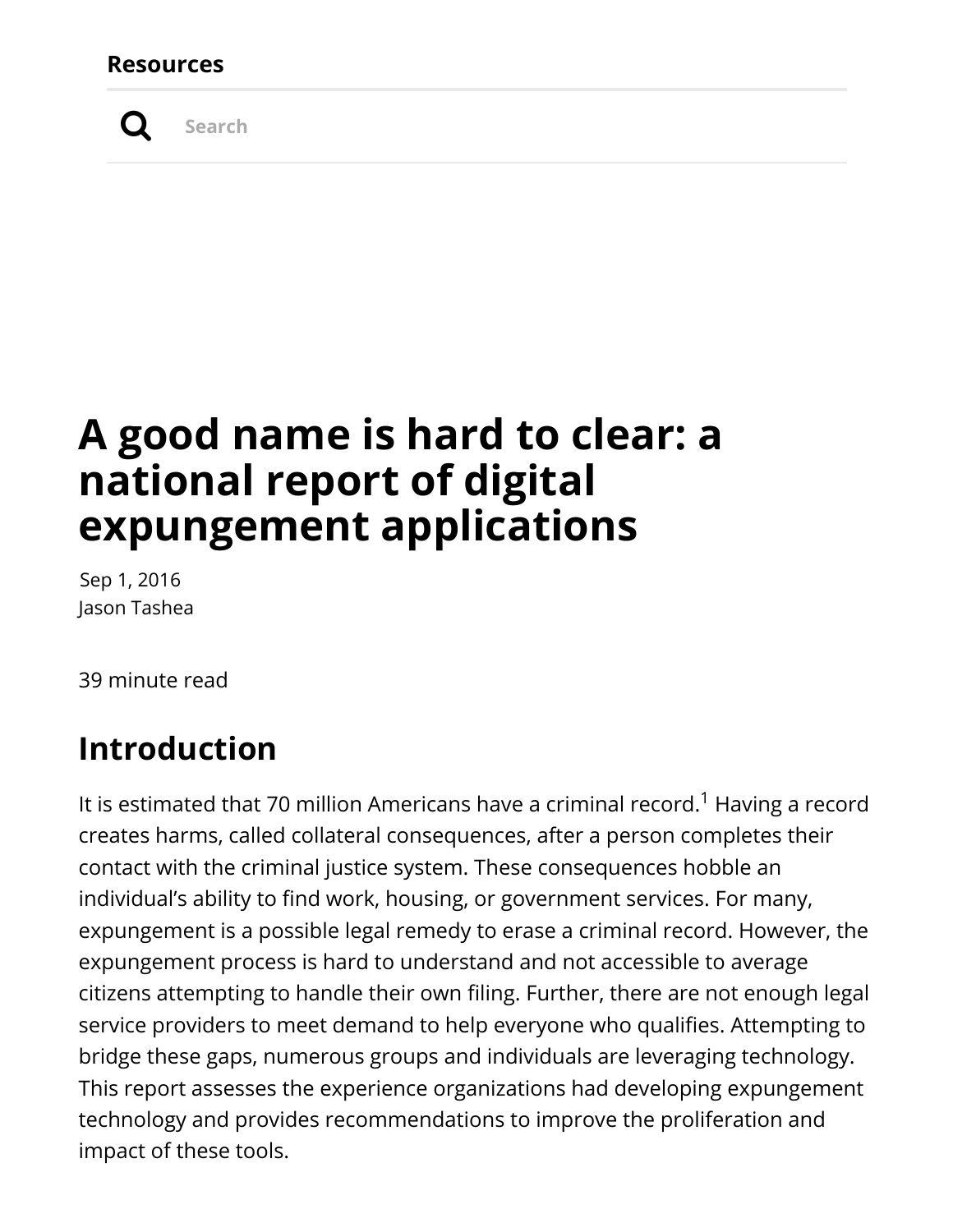#### **Resources**



**Search**

# **A good name is hard to clear: a national report of digital expungement applications**

Sep 1, 2016 Jason Tashea

39 minute read

### **Introduction**

It is estimated that 70 million Americans have a criminal record.<sup>1</sup> Having a record creates harms, called collateral consequences, after a person completes their contact with the criminal justice system. These consequences hobble an individual's ability to find work, housing, or government services. For many, expungement is a possible legal remedy to erase a criminal record. However, the expungement process is hard to understand and not accessible to average citizens attempting to handle their own filing. Further, there are not enough legal service providers to meet demand to help everyone who qualifies. Attempting to bridge these gaps, numerous groups and individuals are leveraging technology. This report assesses the experience organizations had developing expungement technology and provides recommendations to improve the proliferation and impact of these tools.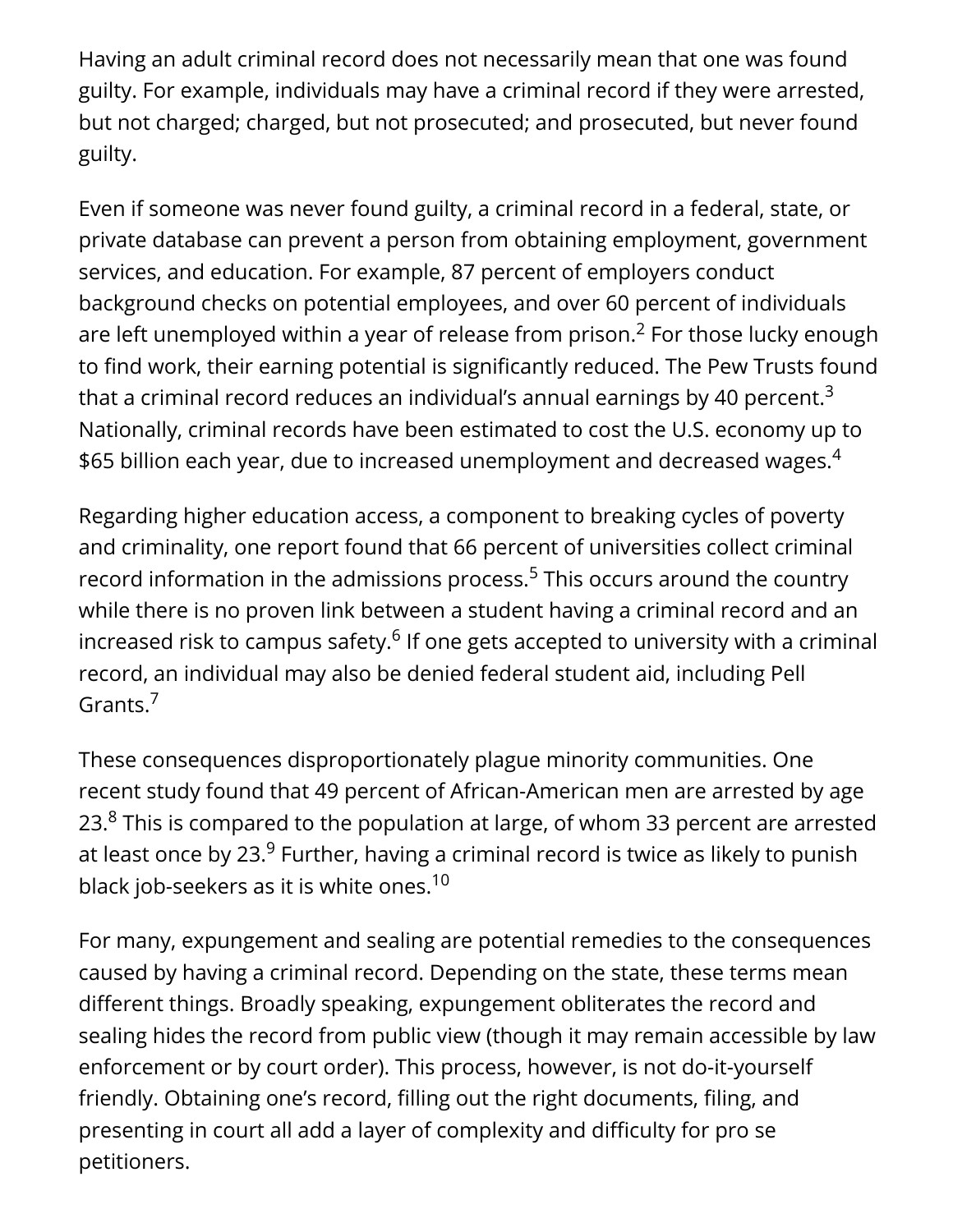Having an adult criminal record does not necessarily mean that one was found guilty. For example, individuals may have a criminal record if they were arrested, but not charged; charged, but not prosecuted; and prosecuted, but never found guilty.

Even if someone was never found guilty, a criminal record in a federal, state, or private database can prevent a person from obtaining employment, government services, and education. For example, 87 percent of employers conduct background checks on potential employees, and over 60 percent of individuals are left unemployed within a year of release from prison. $^2$  For those lucky enough to find work, their earning potential is significantly reduced. The Pew Trusts found that a criminal record reduces an individual's annual earnings by 40 percent. $^3$ Nationally, criminal records have been estimated to cost the U.S. economy up to \$65 billion each year, due to increased unemployment and decreased wages. $^{\rm 4}$ 

Regarding higher education access, a component to breaking cycles of poverty and criminality, one report found that 66 percent of universities collect criminal record information in the admissions process.<sup>5</sup> This occurs around the country while there is no proven link between a student having a criminal record and an increased risk to campus safety. $^6$  If one gets accepted to university with a criminal record, an individual may also be denied federal student aid, including Pell Grants.<sup>7</sup>

These consequences disproportionately plague minority communities. One recent study found that 49 percent of African-American men are arrested by age 23. $8$  This is compared to the population at large, of whom 33 percent are arrested at least once by 23. $^9$  Further, having a criminal record is twice as likely to punish black job-seekers as it is white ones. $^{\rm 10}$ 

For many, expungement and sealing are potential remedies to the consequences caused by having a criminal record. Depending on the state, these terms mean different things. Broadly speaking, expungement obliterates the record and sealing hides the record from public view (though it may remain accessible by law enforcement or by court order). This process, however, is not do-it-yourself friendly. Obtaining one's record, filling out the right documents, filing, and presenting in court all add a layer of complexity and difficulty for pro se petitioners.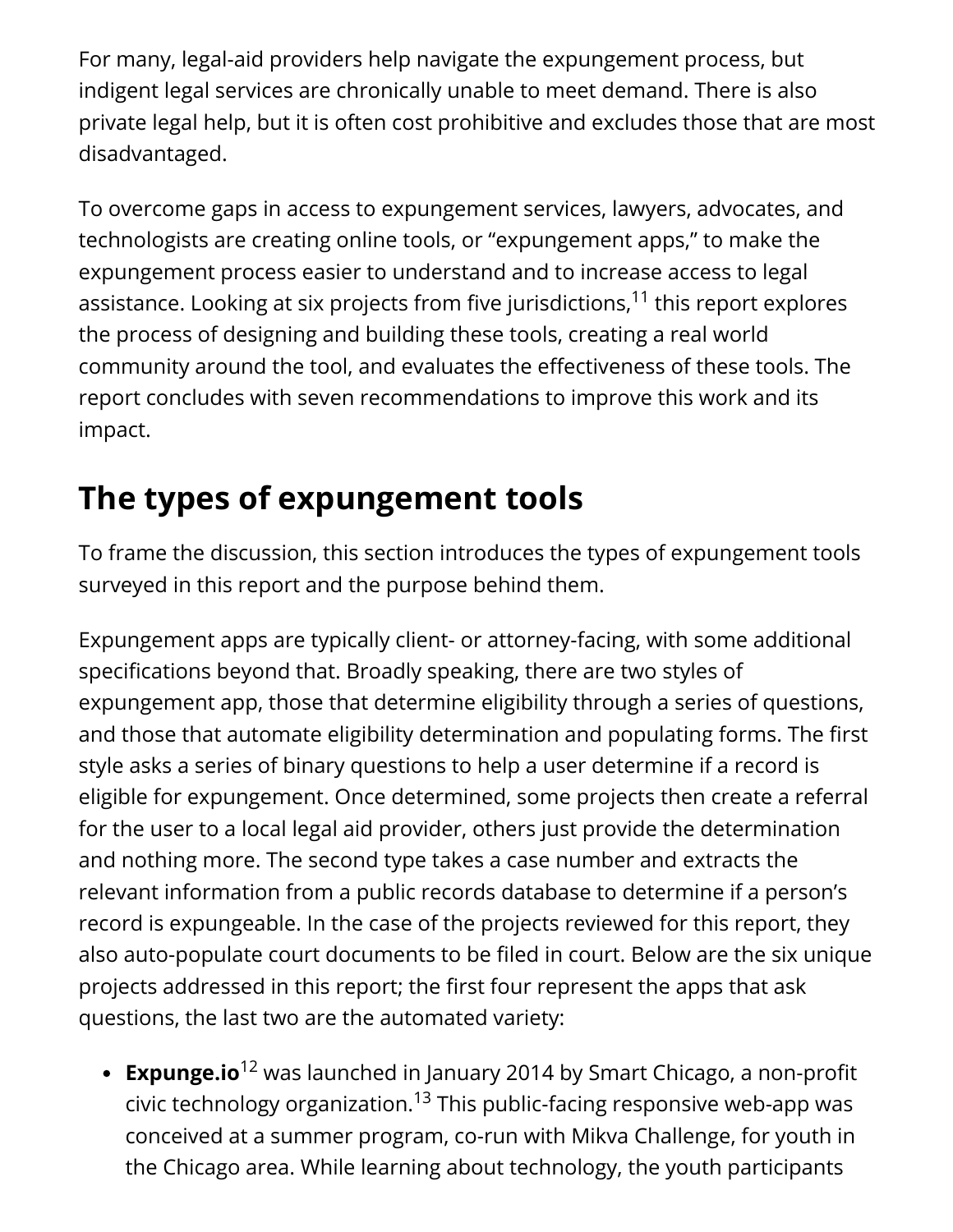For many, legal-aid providers help navigate the expungement process, but indigent legal services are chronically unable to meet demand. There is also private legal help, but it is often cost prohibitive and excludes those that are most disadvantaged.

To overcome gaps in access to expungement services, lawyers, advocates, and technologists are creating online tools, or "expungement apps," to make the expungement process easier to understand and to increase access to legal assistance. Looking at six projects from five jurisdictions,<sup>11</sup> this report explores the process of designing and building these tools, creating a real world community around the tool, and evaluates the effectiveness of these tools. The report concludes with seven recommendations to improve this work and its impact.

# **The types of expungement tools**

To frame the discussion, this section introduces the types of expungement tools surveyed in this report and the purpose behind them.

Expungement apps are typically client- or attorney-facing, with some additional specifications beyond that. Broadly speaking, there are two styles of expungement app, those that determine eligibility through a series of questions, and those that automate eligibility determination and populating forms. The first style asks a series of binary questions to help a user determine if a record is eligible for expungement. Once determined, some projects then create a referral for the user to a local legal aid provider, others just provide the determination and nothing more. The second type takes a case number and extracts the relevant information from a public records database to determine if a person's record is expungeable. In the case of the projects reviewed for this report, they also auto-populate court documents to be filed in court. Below are the six unique projects addressed in this report; the first four represent the apps that ask questions, the last two are the automated variety:

**Expunge.io**<sup>12</sup> was launched in January 2014 by Smart Chicago, a non-profit civic technology organization. $^{13}$  This public-facing responsive web-app was conceived at a summer program, co-run with Mikva Challenge, for youth in the Chicago area. While learning about technology, the youth participants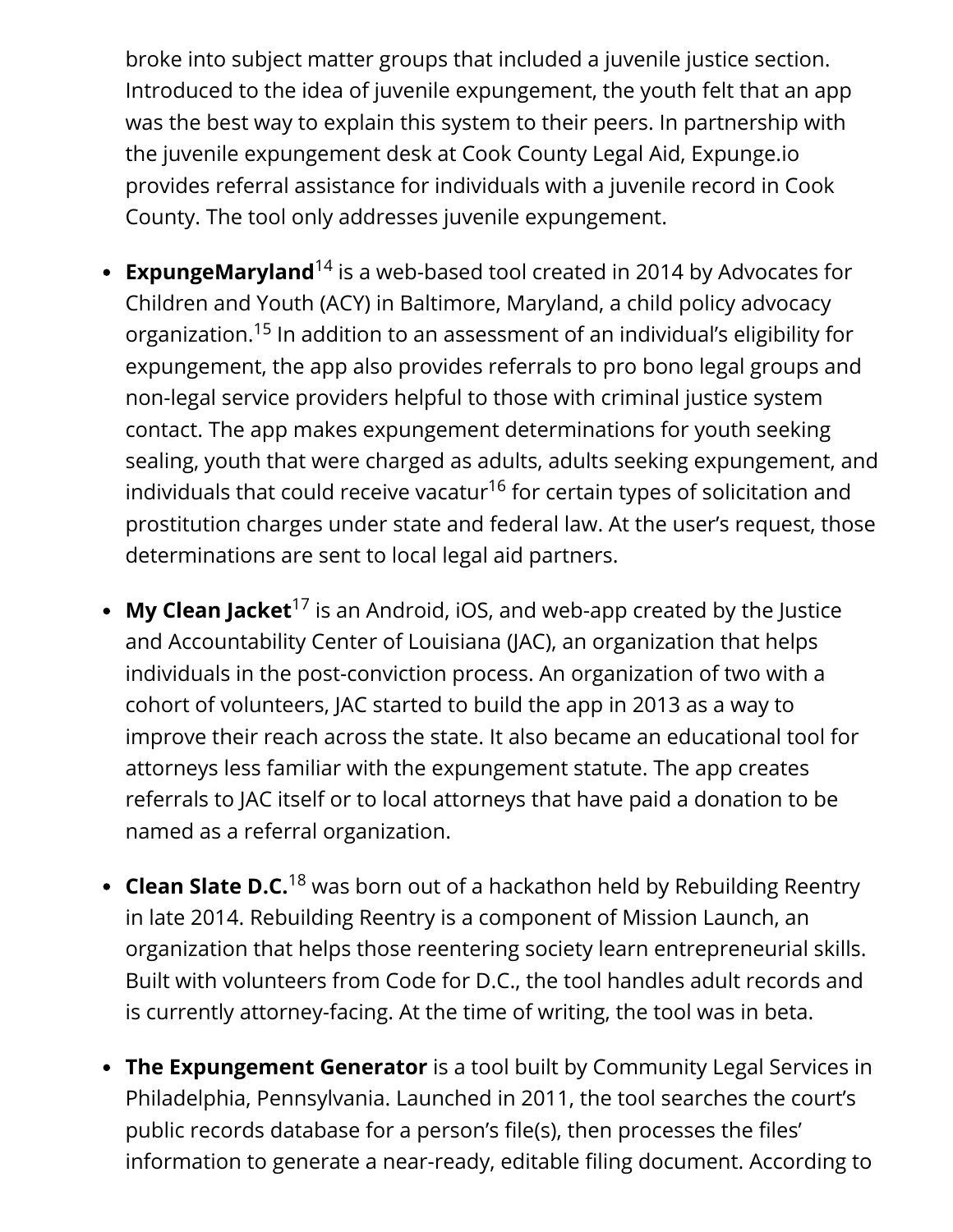broke into subject matter groups that included a juvenile justice section. Introduced to the idea of juvenile expungement, the youth felt that an app was the best way to explain this system to their peers. In partnership with the juvenile expungement desk at Cook County Legal Aid, Expunge.io provides referral assistance for individuals with a juvenile record in Cook County. The tool only addresses juvenile expungement.

- **ExpungeMaryland**<sup>14</sup> is a web-based tool created in 2014 by Advocates for Children and Youth (ACY) in Baltimore, Maryland, a child policy advocacy organization.<sup>15</sup> In addition to an assessment of an individual's eligibility for expungement, the app also provides referrals to pro bono legal groups and non-legal service providers helpful to those with criminal justice system contact. The app makes expungement determinations for youth seeking sealing, youth that were charged as adults, adults seeking expungement, and individuals that could receive vacatur $^{16}$  for certain types of solicitation and prostitution charges under state and federal law. At the user's request, those determinations are sent to local legal aid partners.
- **My Clean Jacket**<sup>17</sup> is an Android, iOS, and web-app created by the Justice and Accountability Center of Louisiana (JAC), an organization that helps individuals in the post-conviction process. An organization of two with a cohort of volunteers, JAC started to build the app in 2013 as a way to improve their reach across the state. It also became an educational tool for attorneys less familiar with the expungement statute. The app creates referrals to JAC itself or to local attorneys that have paid a donation to be named as a referral organization.
- **Clean Slate D.C.**<sup>18</sup> was born out of a hackathon held by Rebuilding Reentry in late 2014. Rebuilding Reentry is a component of Mission Launch, an organization that helps those reentering society learn entrepreneurial skills. Built with volunteers from Code for D.C., the tool handles adult records and is currently attorney-facing. At the time of writing, the tool was in beta.
- **The Expungement Generator** is a tool built by Community Legal Services in Philadelphia, Pennsylvania. Launched in 2011, the tool searches the court's public records database for a person's file(s), then processes the files' information to generate a near-ready, editable filing document. According to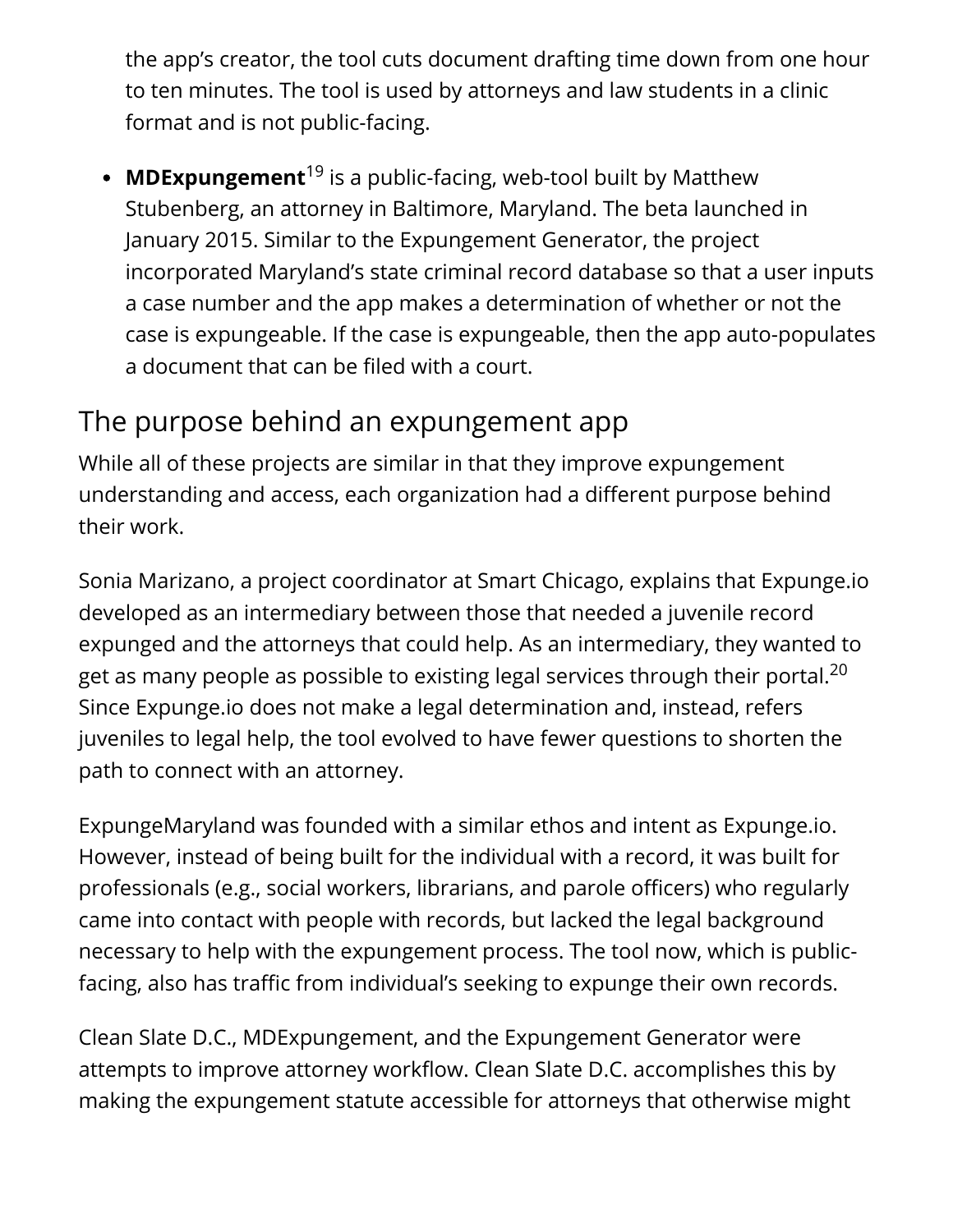the app's creator, the tool cuts document drafting time down from one hour to ten minutes. The tool is used by attorneys and law students in a clinic format and is not public-facing.

**MDExpungement**<sup>19</sup> is a public-facing, web-tool built by Matthew Stubenberg, an attorney in Baltimore, Maryland. The beta launched in January 2015. Similar to the Expungement Generator, the project incorporated Maryland's state criminal record database so that a user inputs a case number and the app makes a determination of whether or not the case is expungeable. If the case is expungeable, then the app auto-populates a document that can be filed with a court.

### The purpose behind an expungement app

While all of these projects are similar in that they improve expungement understanding and access, each organization had a different purpose behind their work.

Sonia Marizano, a project coordinator at Smart Chicago, explains that Expunge.io developed as an intermediary between those that needed a juvenile record expunged and the attorneys that could help. As an intermediary, they wanted to get as many people as possible to existing legal services through their portal. $^{\mathrm{20}}$ Since Expunge.io does not make a legal determination and, instead, refers juveniles to legal help, the tool evolved to have fewer questions to shorten the path to connect with an attorney.

ExpungeMaryland was founded with a similar ethos and intent as Expunge.io. However, instead of being built for the individual with a record, it was built for professionals (e.g., social workers, librarians, and parole officers) who regularly came into contact with people with records, but lacked the legal background necessary to help with the expungement process. The tool now, which is publicfacing, also has traffic from individual's seeking to expunge their own records.

Clean Slate D.C., MDExpungement, and the Expungement Generator were attempts to improve attorney workflow. Clean Slate D.C. accomplishes this by making the expungement statute accessible for attorneys that otherwise might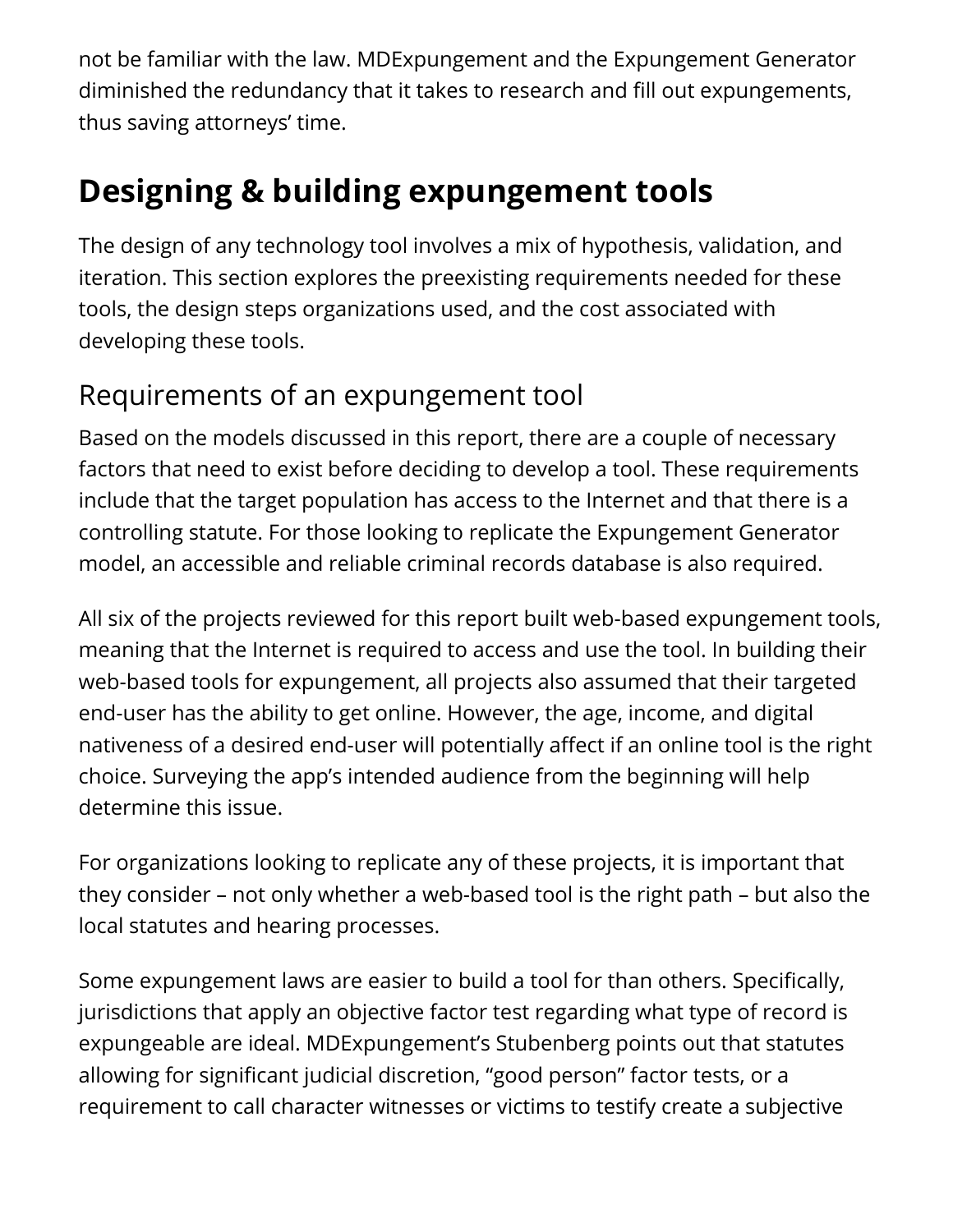not be familiar with the law. MDExpungement and the Expungement Generator diminished the redundancy that it takes to research and fill out expungements, thus saving attorneys' time.

# **Designing & building expungement tools**

The design of any technology tool involves a mix of hypothesis, validation, and iteration. This section explores the preexisting requirements needed for these tools, the design steps organizations used, and the cost associated with developing these tools.

### Requirements of an expungement tool

Based on the models discussed in this report, there are a couple of necessary factors that need to exist before deciding to develop a tool. These requirements include that the target population has access to the Internet and that there is a controlling statute. For those looking to replicate the Expungement Generator model, an accessible and reliable criminal records database is also required.

All six of the projects reviewed for this report built web-based expungement tools, meaning that the Internet is required to access and use the tool. In building their web-based tools for expungement, all projects also assumed that their targeted end-user has the ability to get online. However, the age, income, and digital nativeness of a desired end-user will potentially affect if an online tool is the right choice. Surveying the app's intended audience from the beginning will help determine this issue.

For organizations looking to replicate any of these projects, it is important that they consider – not only whether a web-based tool is the right path – but also the local statutes and hearing processes.

Some expungement laws are easier to build a tool for than others. Specifically, jurisdictions that apply an objective factor test regarding what type of record is expungeable are ideal. MDExpungement's Stubenberg points out that statutes allowing for significant judicial discretion, "good person" factor tests, or a requirement to call character witnesses or victims to testify create a subjective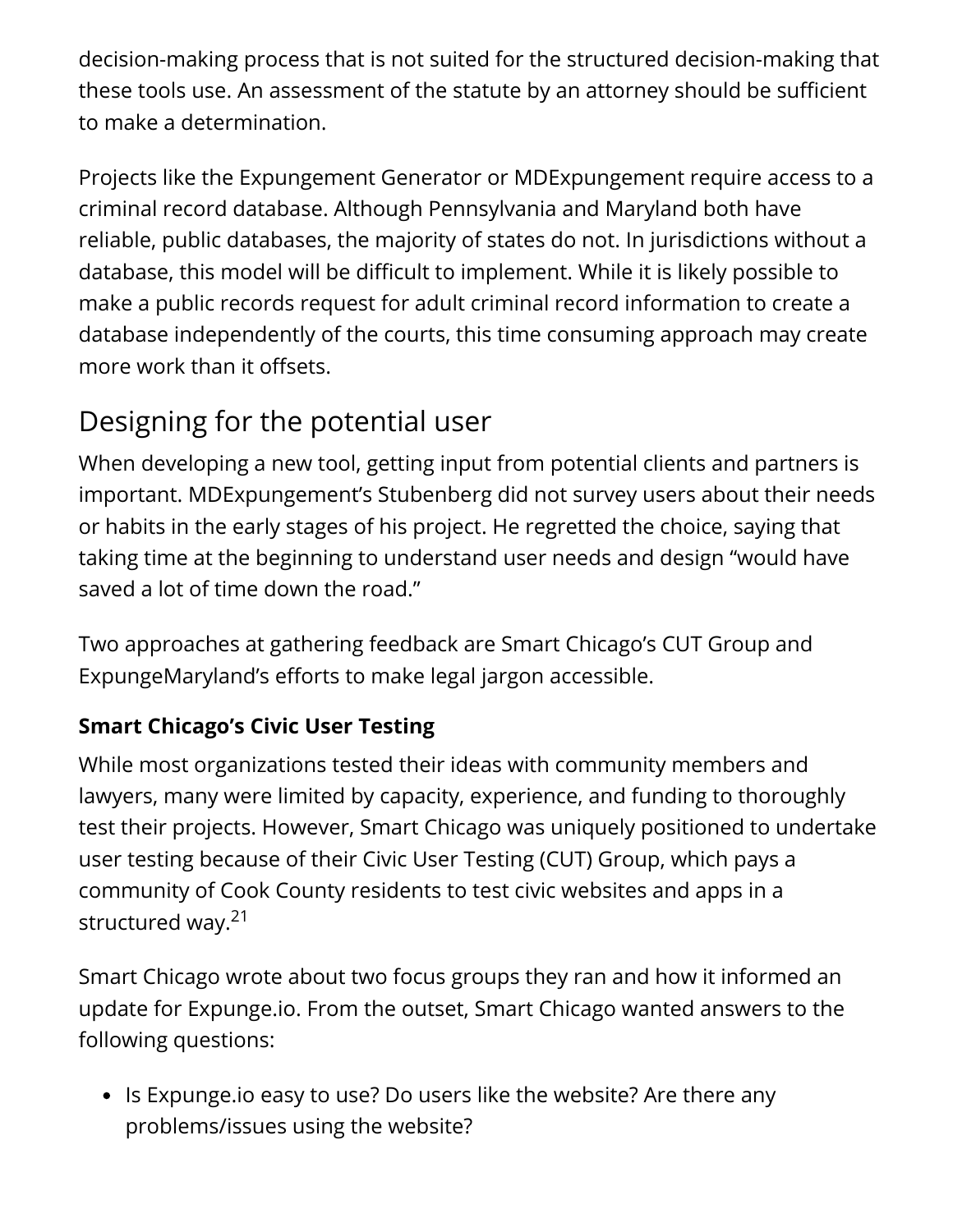decision-making process that is not suited for the structured decision-making that these tools use. An assessment of the statute by an attorney should be sufficient to make a determination.

Projects like the Expungement Generator or MDExpungement require access to a criminal record database. Although Pennsylvania and Maryland both have reliable, public databases, the majority of states do not. In jurisdictions without a database, this model will be difficult to implement. While it is likely possible to make a public records request for adult criminal record information to create a database independently of the courts, this time consuming approach may create more work than it offsets.

# Designing for the potential user

When developing a new tool, getting input from potential clients and partners is important. MDExpungement's Stubenberg did not survey users about their needs or habits in the early stages of his project. He regretted the choice, saying that taking time at the beginning to understand user needs and design "would have saved a lot of time down the road."

Two approaches at gathering feedback are Smart Chicago's CUT Group and ExpungeMaryland's efforts to make legal jargon accessible.

#### **Smart Chicago's Civic User Testing**

While most organizations tested their ideas with community members and lawyers, many were limited by capacity, experience, and funding to thoroughly test their projects. However, Smart Chicago was uniquely positioned to undertake user testing because of their Civic User Testing (CUT) Group, which pays a community of Cook County residents to test civic websites and apps in a structured way.<sup>21</sup>

Smart Chicago wrote about two focus groups they ran and how it informed an update for Expunge.io. From the outset, Smart Chicago wanted answers to the following questions:

• Is Expunge.io easy to use? Do users like the website? Are there any problems/issues using the website?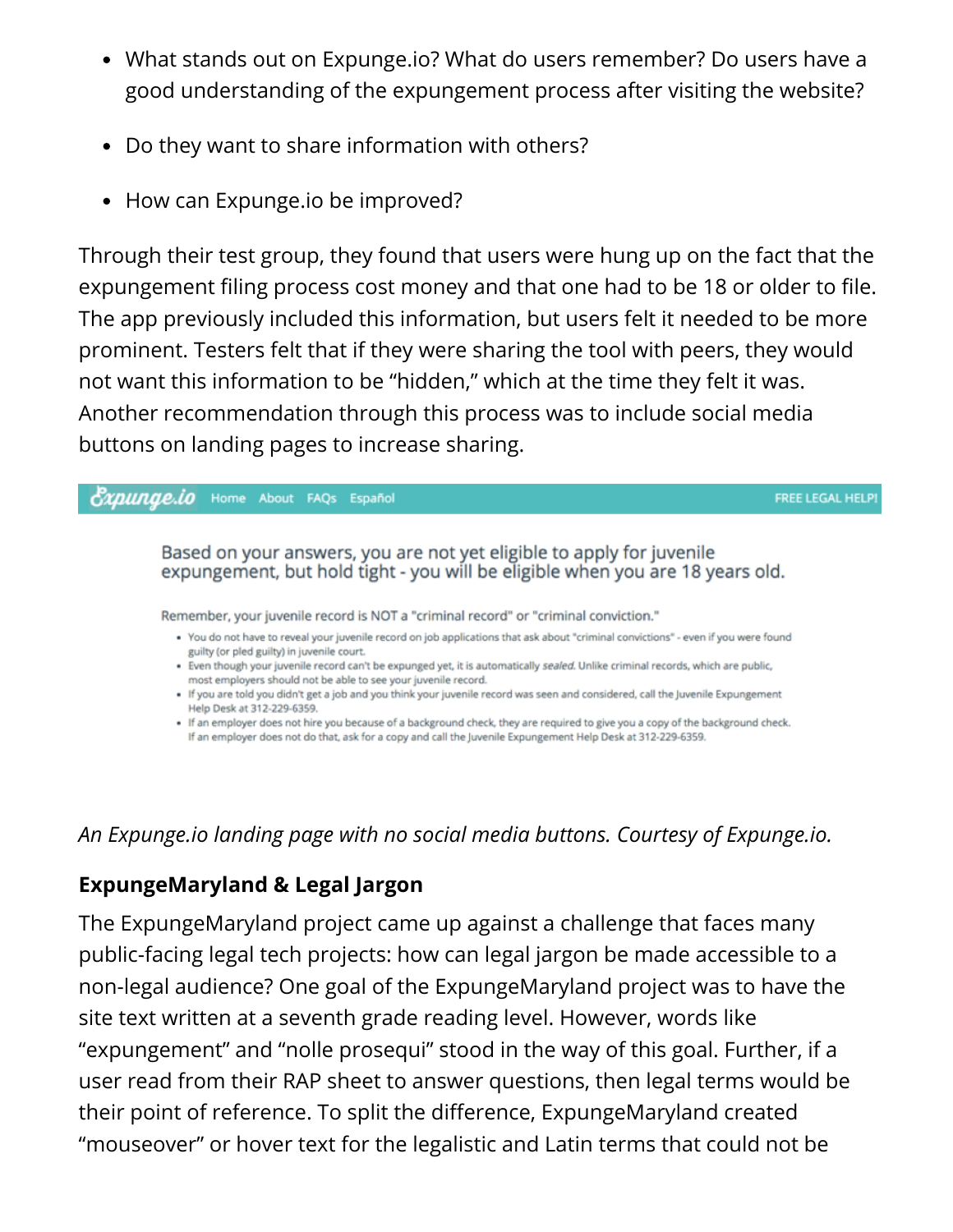- What stands out on Expunge.io? What do users remember? Do users have a good understanding of the expungement process after visiting the website?
- Do they want to share information with others?
- How can Expunge.io be improved?

Through their test group, they found that users were hung up on the fact that the expungement filing process cost money and that one had to be 18 or older to file. The app previously included this information, but users felt it needed to be more prominent. Testers felt that if they were sharing the tool with peers, they would not want this information to be "hidden," which at the time they felt it was. Another recommendation through this process was to include social media buttons on landing pages to increase sharing.



*An Expunge.io landing page with no social media buttons. Courtesy of Expunge.io.*

#### **ExpungeMaryland & Legal Jargon**

The ExpungeMaryland project came up against a challenge that faces many public-facing legal tech projects: how can legal jargon be made accessible to a non-legal audience? One goal of the ExpungeMaryland project was to have the site text written at a seventh grade reading level. However, words like "expungement" and "nolle prosequi" stood in the way of this goal. Further, if a user read from their RAP sheet to answer questions, then legal terms would be their point of reference. To split the difference, ExpungeMaryland created "mouseover" or hover text for the legalistic and Latin terms that could not be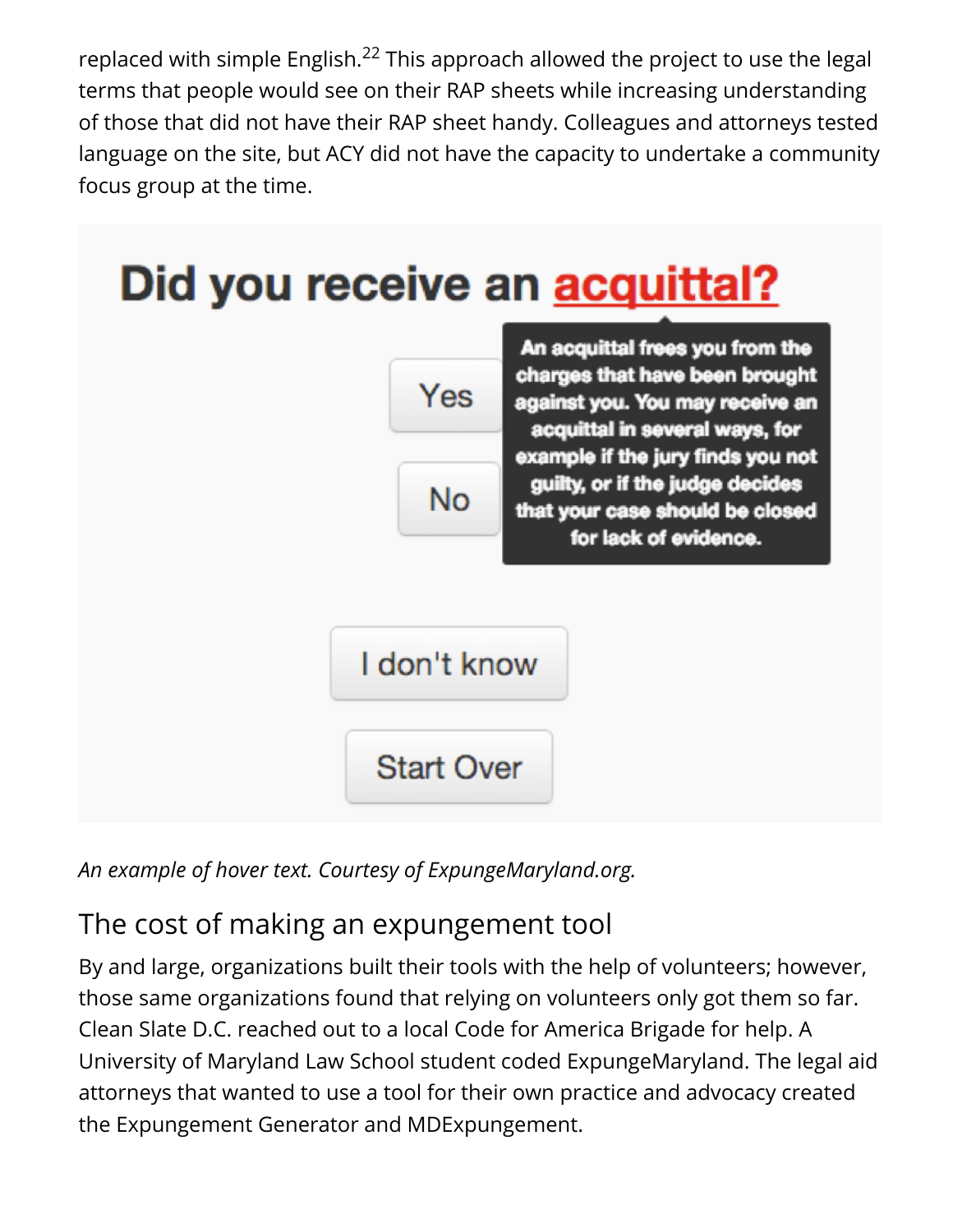replaced with simple English. $^{22}$  This approach allowed the project to use the legal terms that people would see on their RAP sheets while increasing understanding of those that did not have their RAP sheet handy. Colleagues and attorneys tested language on the site, but ACY did not have the capacity to undertake a community focus group at the time.



*An example of hover text. Courtesy of ExpungeMaryland.org.*

# The cost of making an expungement tool

By and large, organizations built their tools with the help of volunteers; however, those same organizations found that relying on volunteers only got them so far. Clean Slate D.C. reached out to a local Code for America Brigade for help. A University of Maryland Law School student coded ExpungeMaryland. The legal aid attorneys that wanted to use a tool for their own practice and advocacy created the Expungement Generator and MDExpungement.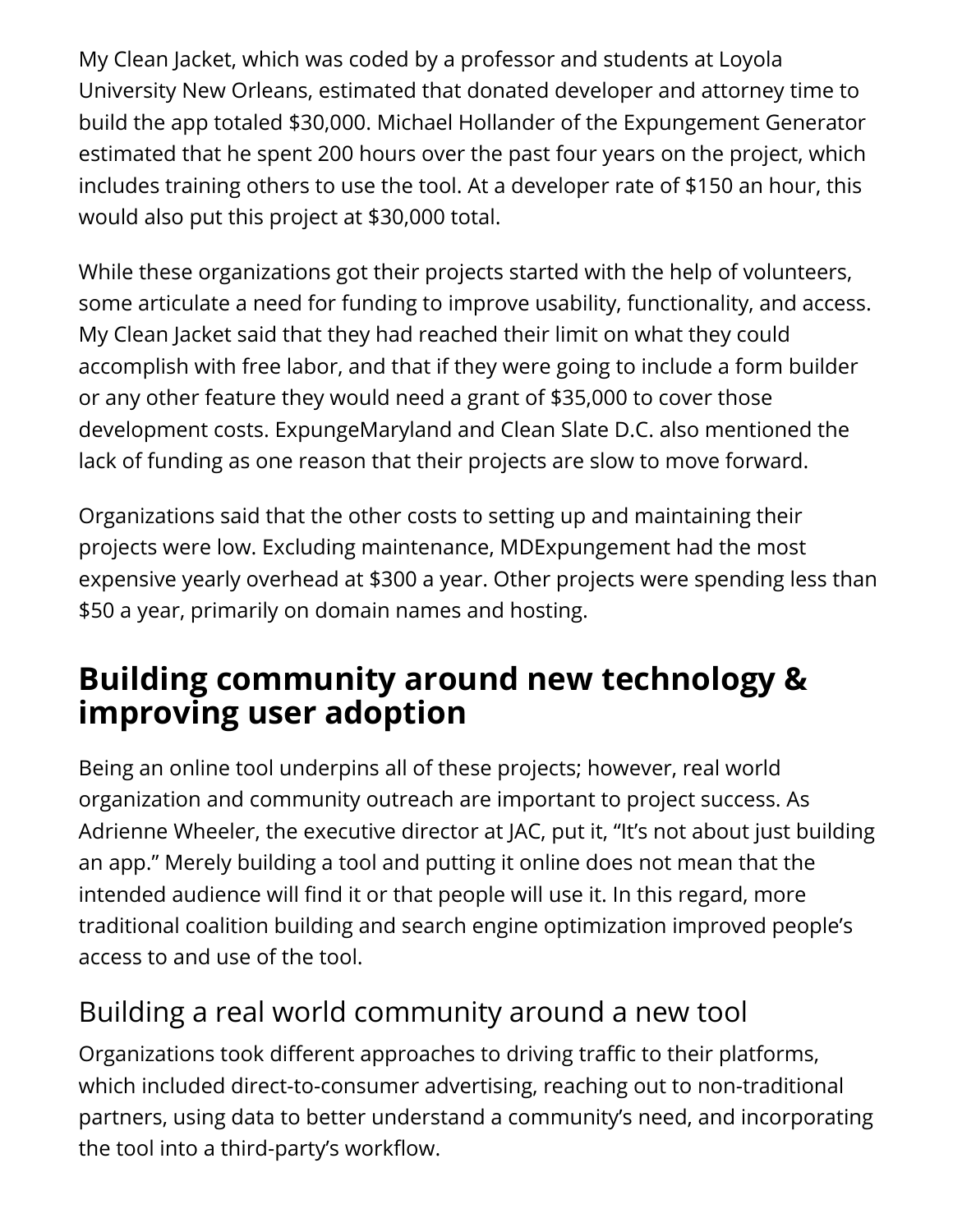My Clean Jacket, which was coded by a professor and students at Loyola University New Orleans, estimated that donated developer and attorney time to build the app totaled \$30,000. Michael Hollander of the Expungement Generator estimated that he spent 200 hours over the past four years on the project, which includes training others to use the tool. At a developer rate of \$150 an hour, this would also put this project at \$30,000 total.

While these organizations got their projects started with the help of volunteers, some articulate a need for funding to improve usability, functionality, and access. My Clean Jacket said that they had reached their limit on what they could accomplish with free labor, and that if they were going to include a form builder or any other feature they would need a grant of \$35,000 to cover those development costs. ExpungeMaryland and Clean Slate D.C. also mentioned the lack of funding as one reason that their projects are slow to move forward.

Organizations said that the other costs to setting up and maintaining their projects were low. Excluding maintenance, MDExpungement had the most expensive yearly overhead at \$300 a year. Other projects were spending less than \$50 a year, primarily on domain names and hosting.

# **Building community around new technology & improving user adoption**

Being an online tool underpins all of these projects; however, real world organization and community outreach are important to project success. As Adrienne Wheeler, the executive director at JAC, put it, "It's not about just building an app." Merely building a tool and putting it online does not mean that the intended audience will find it or that people will use it. In this regard, more traditional coalition building and search engine optimization improved people's access to and use of the tool.

### Building a real world community around a new tool

Organizations took different approaches to driving traffic to their platforms, which included direct-to-consumer advertising, reaching out to non-traditional partners, using data to better understand a community's need, and incorporating the tool into a third-party's workflow.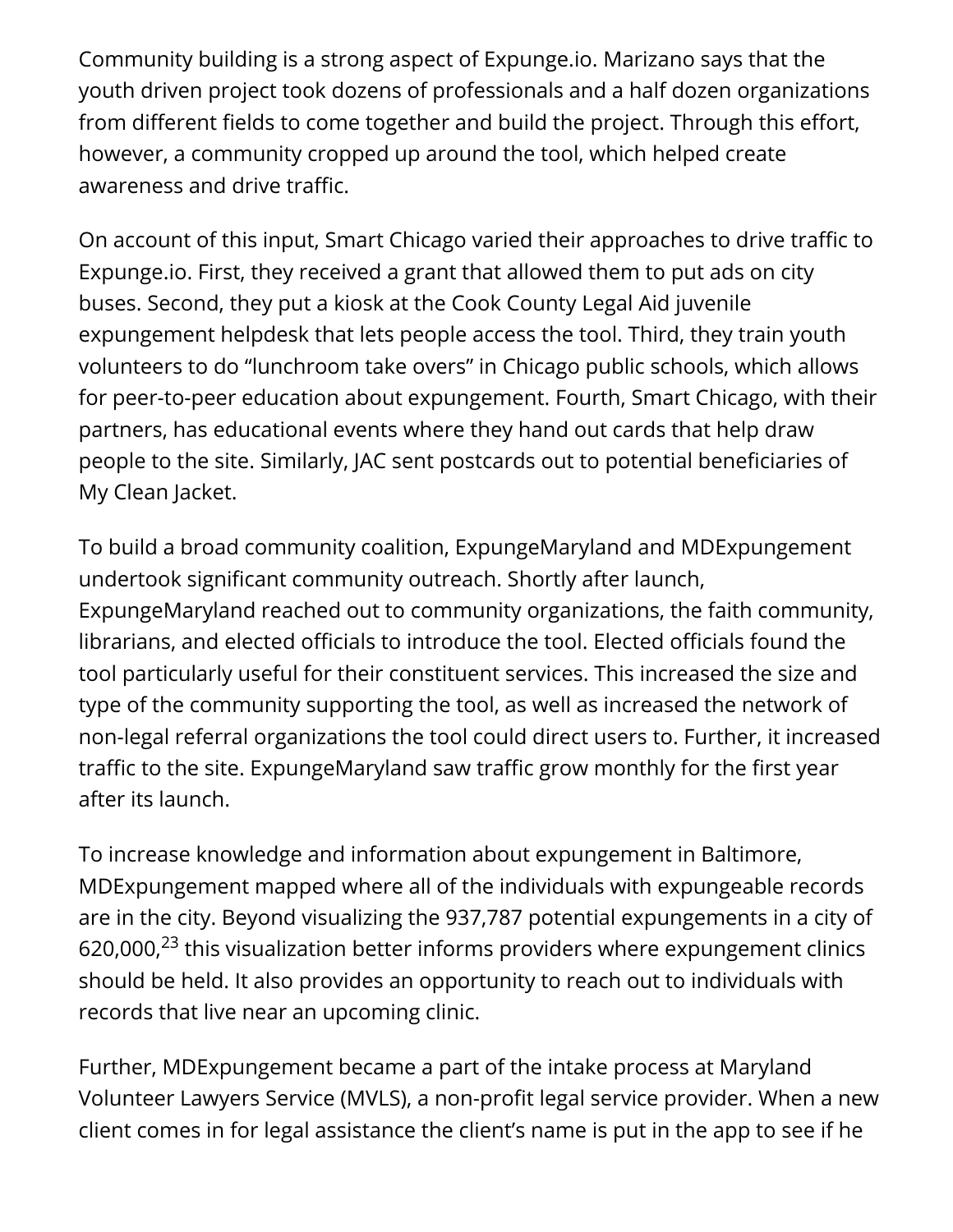Community building is a strong aspect of Expunge.io. Marizano says that the youth driven project took dozens of professionals and a half dozen organizations from different fields to come together and build the project. Through this effort, however, a community cropped up around the tool, which helped create awareness and drive traffic.

On account of this input, Smart Chicago varied their approaches to drive traffic to Expunge.io. First, they received a grant that allowed them to put ads on city buses. Second, they put a kiosk at the Cook County Legal Aid juvenile expungement helpdesk that lets people access the tool. Third, they train youth volunteers to do "lunchroom take overs" in Chicago public schools, which allows for peer-to-peer education about expungement. Fourth, Smart Chicago, with their partners, has educational events where they hand out cards that help draw people to the site. Similarly, JAC sent postcards out to potential beneficiaries of My Clean Jacket.

To build a broad community coalition, ExpungeMaryland and MDExpungement undertook significant community outreach. Shortly after launch, ExpungeMaryland reached out to community organizations, the faith community, librarians, and elected officials to introduce the tool. Elected officials found the tool particularly useful for their constituent services. This increased the size and type of the community supporting the tool, as well as increased the network of non-legal referral organizations the tool could direct users to. Further, it increased traffic to the site. ExpungeMaryland saw traffic grow monthly for the first year after its launch.

To increase knowledge and information about expungement in Baltimore, MDExpungement mapped where all of the individuals with expungeable records are in the city. Beyond visualizing the 937,787 potential expungements in a city of 620,000, $^{23}$  this visualization better informs providers where expungement clinics should be held. It also provides an opportunity to reach out to individuals with records that live near an upcoming clinic.

Further, MDExpungement became a part of the intake process at Maryland Volunteer Lawyers Service (MVLS), a non-profit legal service provider. When a new client comes in for legal assistance the client's name is put in the app to see if he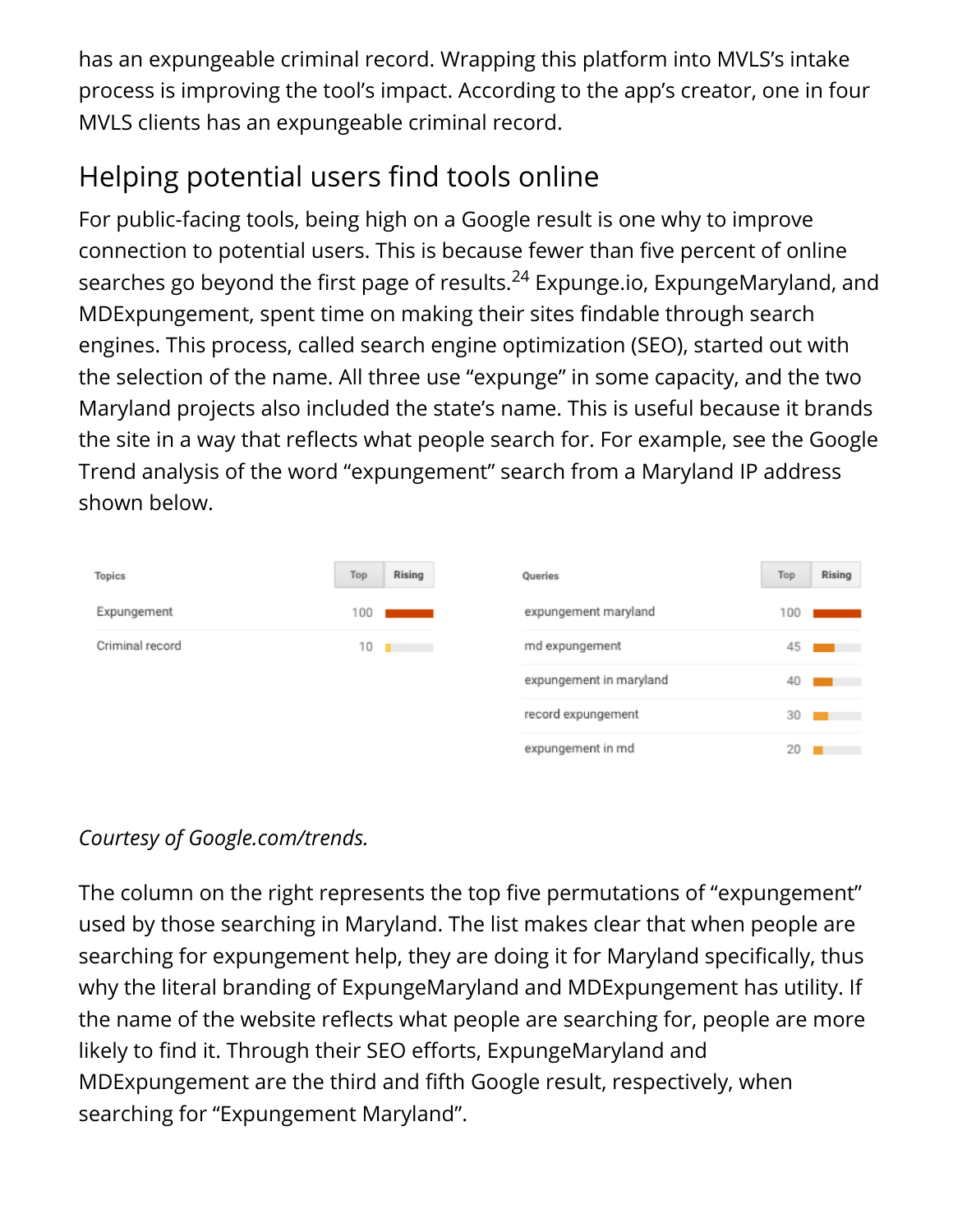has an expungeable criminal record. Wrapping this platform into MVLS's intake process is improving the tool's impact. According to the app's creator, one in four MVLS clients has an expungeable criminal record.

# Helping potential users find tools online

For public-facing tools, being high on a Google result is one why to improve connection to potential users. This is because fewer than five percent of online searches go beyond the first page of results.<sup>24</sup> Expunge.io, ExpungeMaryland, and MDExpungement, spent time on making their sites findable through search engines. This process, called search engine optimization (SEO), started out with the selection of the name. All three use "expunge" in some capacity, and the two Maryland projects also included the state's name. This is useful because it brands the site in a way that reflects what people search for. For example, see the Google Trend analysis of the word "expungement" search from a Maryland IP address shown below.

| <b>Topics</b>   | Top | Rising | Queries                 | Top | Rising |
|-----------------|-----|--------|-------------------------|-----|--------|
| Expungement     | 100 |        | expungement maryland    | 100 |        |
| Criminal record | 10  | . .    | md expungement          | 45  |        |
|                 |     |        | expungement in maryland | 40  |        |
|                 |     |        | record expungement      | 30  |        |
|                 |     |        | expungement in md       | 20  |        |

### *Courtesy of Google.com/trends.*

The column on the right represents the top five permutations of "expungement" used by those searching in Maryland. The list makes clear that when people are searching for expungement help, they are doing it for Maryland specifically, thus why the literal branding of ExpungeMaryland and MDExpungement has utility. If the name of the website reflects what people are searching for, people are more likely to find it. Through their SEO efforts, ExpungeMaryland and MDExpungement are the third and fifth Google result, respectively, when searching for "Expungement Maryland".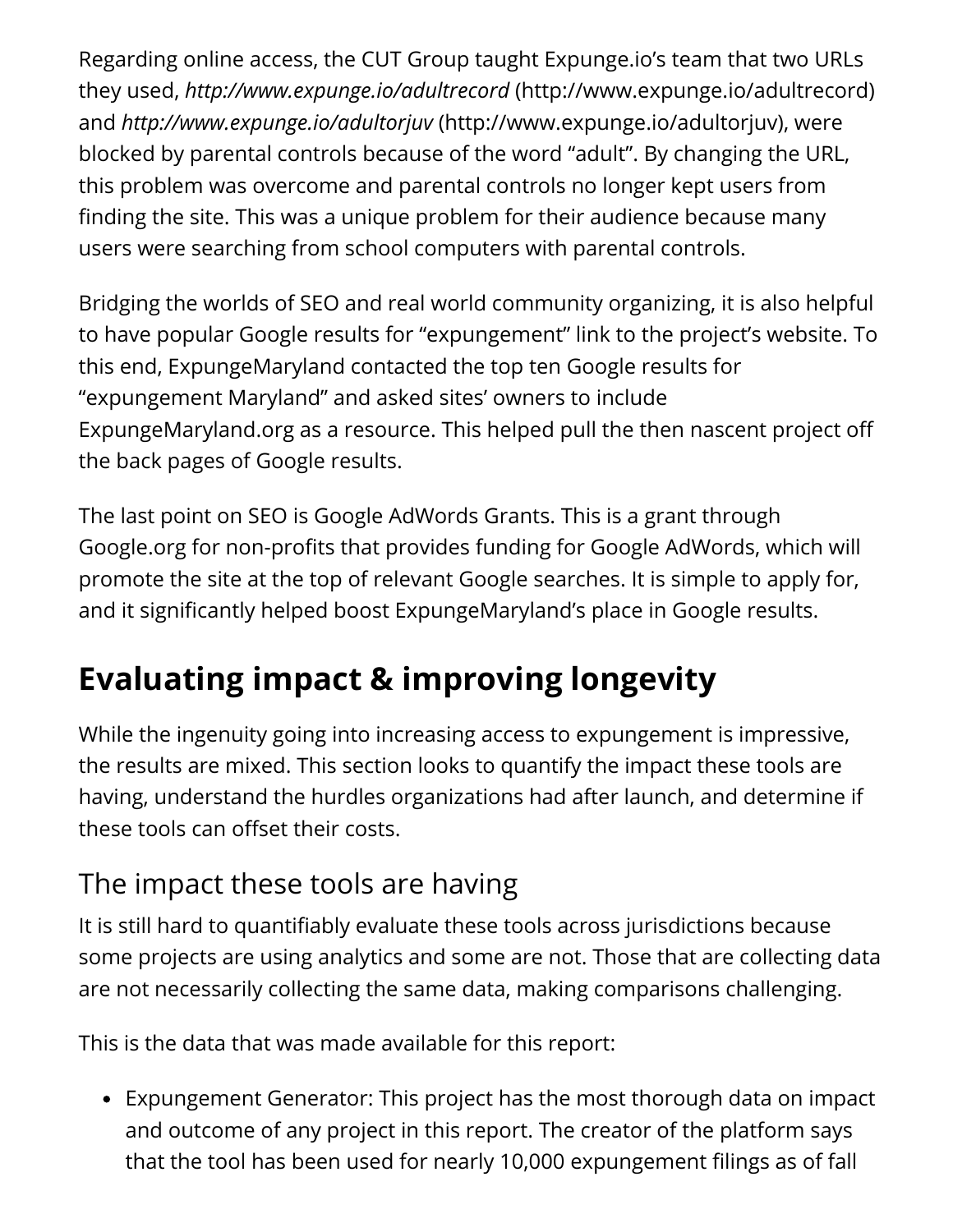Regarding online access, the CUT Group taught Expunge.io's team that two URLs they used, *http://www.expunge.io/adultrecord* (http://www.expunge.io/adultrecord) and *http://www.expunge.io/adultorjuv* (http://www.expunge.io/adultorjuv), were blocked by parental controls because of the word "adult". By changing the URL, this problem was overcome and parental controls no longer kept users from finding the site. This was a unique problem for their audience because many users were searching from school computers with parental controls.

Bridging the worlds of SEO and real world community organizing, it is also helpful to have popular Google results for "expungement" link to the project's website. To this end, ExpungeMaryland contacted the top ten Google results for "expungement Maryland" and asked sites' owners to include ExpungeMaryland.org as a resource. This helped pull the then nascent project o the back pages of Google results.

The last point on SEO is Google AdWords Grants. This is a grant through Google.org for non-profits that provides funding for Google AdWords, which will promote the site at the top of relevant Google searches. It is simple to apply for, and it significantly helped boost ExpungeMaryland's place in Google results.

# **Evaluating impact & improving longevity**

While the ingenuity going into increasing access to expungement is impressive, the results are mixed. This section looks to quantify the impact these tools are having, understand the hurdles organizations had after launch, and determine if these tools can offset their costs.

### The impact these tools are having

It is still hard to quantifiably evaluate these tools across jurisdictions because some projects are using analytics and some are not. Those that are collecting data are not necessarily collecting the same data, making comparisons challenging.

This is the data that was made available for this report:

Expungement Generator: This project has the most thorough data on impact and outcome of any project in this report. The creator of the platform says that the tool has been used for nearly 10,000 expungement filings as of fall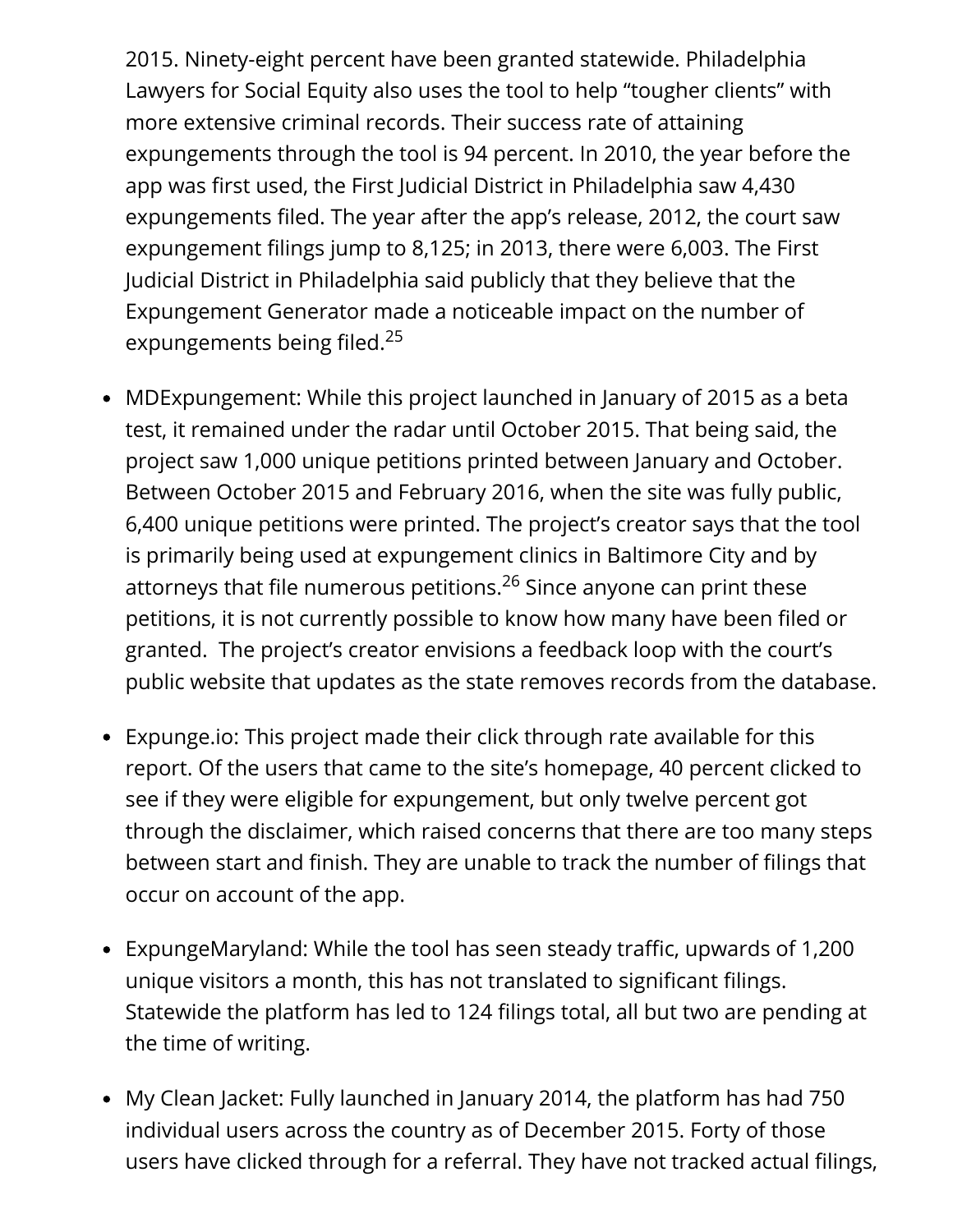2015. Ninety-eight percent have been granted statewide. Philadelphia Lawyers for Social Equity also uses the tool to help "tougher clients" with more extensive criminal records. Their success rate of attaining expungements through the tool is 94 percent. In 2010, the year before the app was first used, the First Judicial District in Philadelphia saw 4,430 expungements filed. The year after the app's release, 2012, the court saw expungement filings jump to 8,125; in 2013, there were 6,003. The First Judicial District in Philadelphia said publicly that they believe that the Expungement Generator made a noticeable impact on the number of expungements being filed.<sup>25</sup>

- MDExpungement: While this project launched in January of 2015 as a beta test, it remained under the radar until October 2015. That being said, the project saw 1,000 unique petitions printed between January and October. Between October 2015 and February 2016, when the site was fully public, 6,400 unique petitions were printed. The project's creator says that the tool is primarily being used at expungement clinics in Baltimore City and by attorneys that file numerous petitions.<sup>26</sup> Since anyone can print these petitions, it is not currently possible to know how many have been filed or granted. The project's creator envisions a feedback loop with the court's public website that updates as the state removes records from the database.
- Expunge.io: This project made their click through rate available for this report. Of the users that came to the site's homepage, 40 percent clicked to see if they were eligible for expungement, but only twelve percent got through the disclaimer, which raised concerns that there are too many steps between start and finish. They are unable to track the number of filings that occur on account of the app.
- ExpungeMaryland: While the tool has seen steady traffic, upwards of 1,200 unique visitors a month, this has not translated to significant filings. Statewide the platform has led to 124 filings total, all but two are pending at the time of writing.
- My Clean Jacket: Fully launched in January 2014, the platform has had 750 individual users across the country as of December 2015. Forty of those users have clicked through for a referral. They have not tracked actual filings,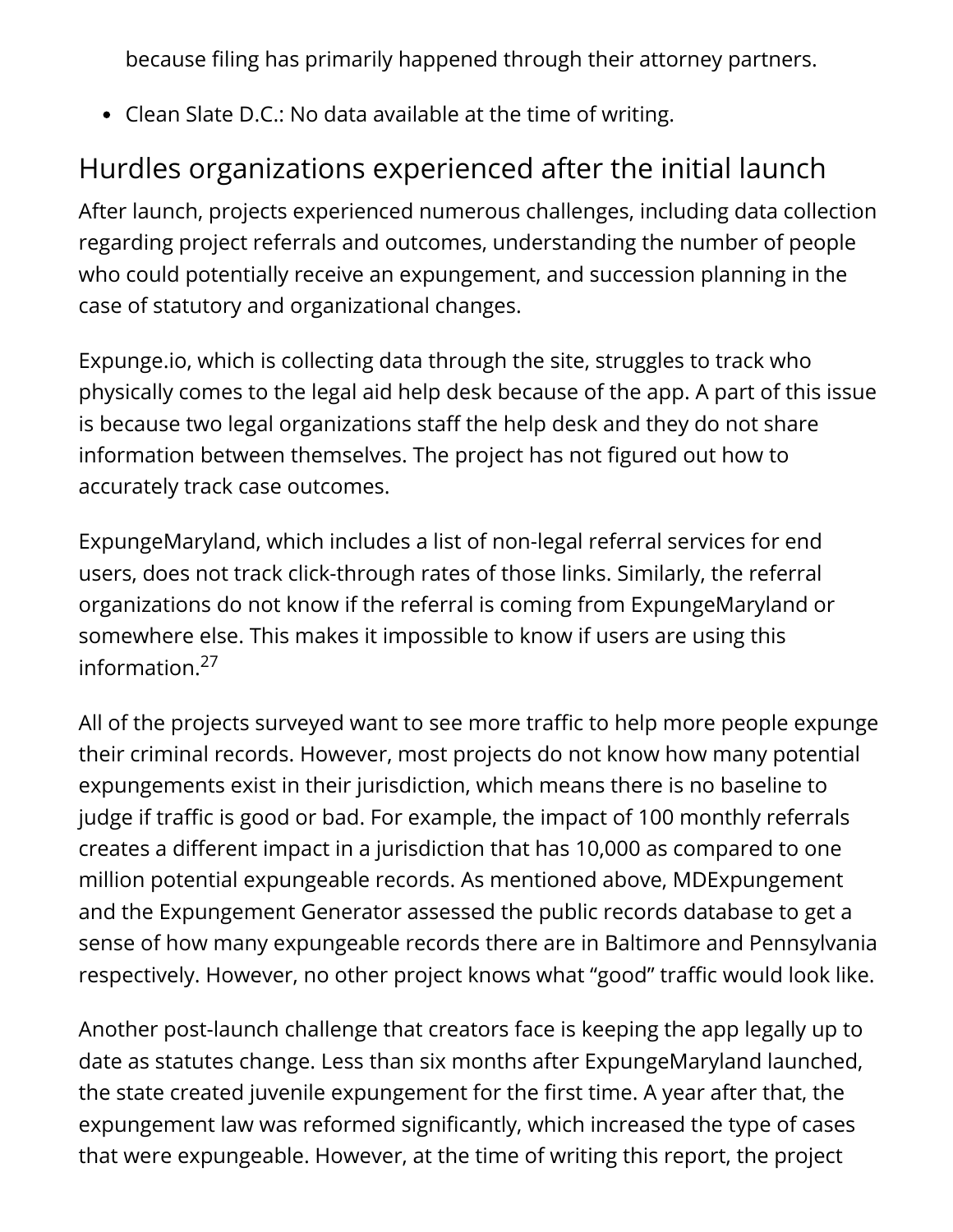because filing has primarily happened through their attorney partners.

Clean Slate D.C.: No data available at the time of writing.

# Hurdles organizations experienced after the initial launch

After launch, projects experienced numerous challenges, including data collection regarding project referrals and outcomes, understanding the number of people who could potentially receive an expungement, and succession planning in the case of statutory and organizational changes.

Expunge.io, which is collecting data through the site, struggles to track who physically comes to the legal aid help desk because of the app. A part of this issue is because two legal organizations staff the help desk and they do not share information between themselves. The project has not figured out how to accurately track case outcomes.

ExpungeMaryland, which includes a list of non-legal referral services for end users, does not track click-through rates of those links. Similarly, the referral organizations do not know if the referral is coming from ExpungeMaryland or somewhere else. This makes it impossible to know if users are using this information. 27

All of the projects surveyed want to see more traffic to help more people expunge their criminal records. However, most projects do not know how many potential expungements exist in their jurisdiction, which means there is no baseline to judge if traffic is good or bad. For example, the impact of 100 monthly referrals creates a different impact in a jurisdiction that has 10,000 as compared to one million potential expungeable records. As mentioned above, MDExpungement and the Expungement Generator assessed the public records database to get a sense of how many expungeable records there are in Baltimore and Pennsylvania respectively. However, no other project knows what "good" traffic would look like.

Another post-launch challenge that creators face is keeping the app legally up to date as statutes change. Less than six months after ExpungeMaryland launched, the state created juvenile expungement for the first time. A year after that, the expungement law was reformed significantly, which increased the type of cases that were expungeable. However, at the time of writing this report, the project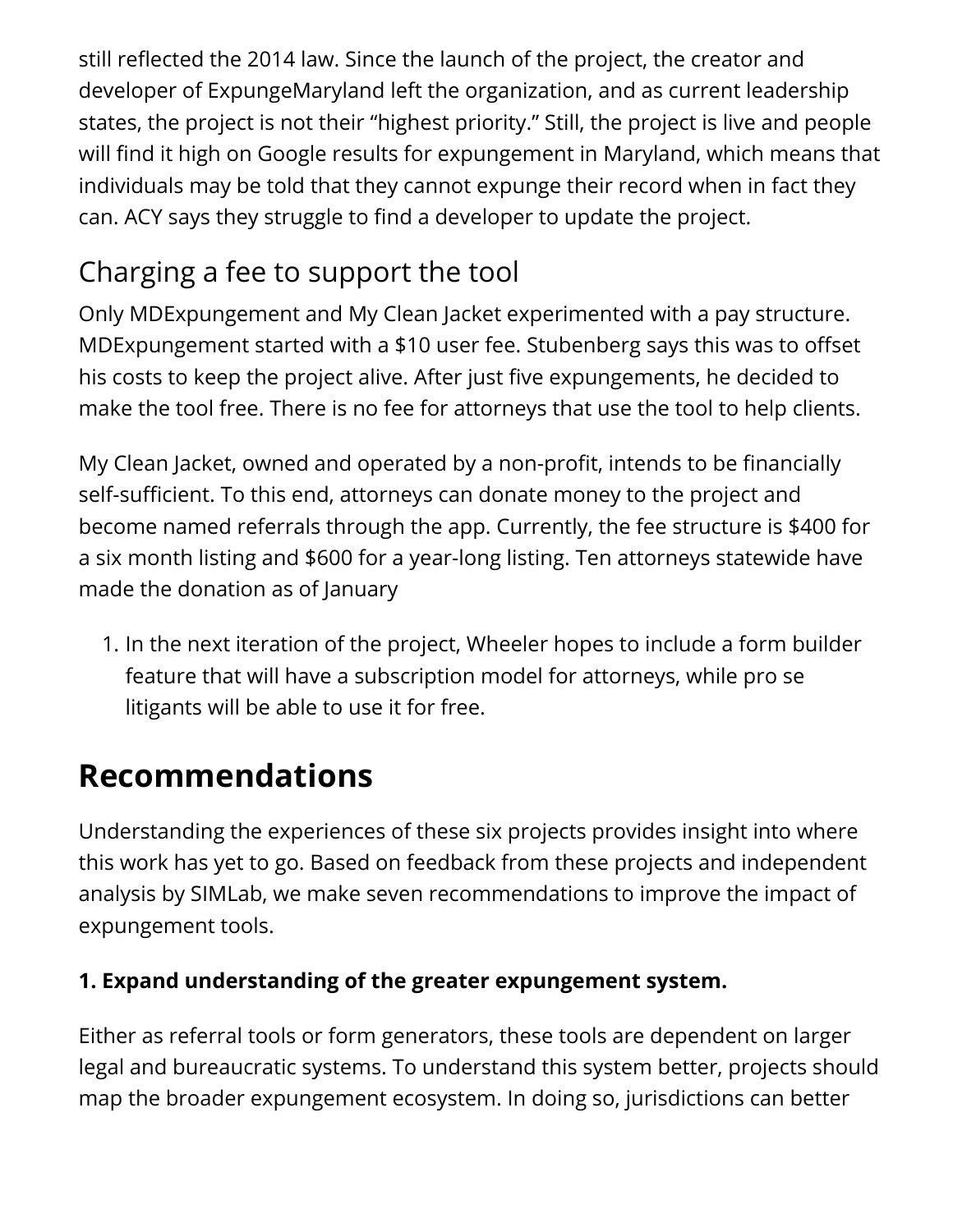still reflected the 2014 law. Since the launch of the project, the creator and developer of ExpungeMaryland left the organization, and as current leadership states, the project is not their "highest priority." Still, the project is live and people will find it high on Google results for expungement in Maryland, which means that individuals may be told that they cannot expunge their record when in fact they can. ACY says they struggle to find a developer to update the project.

# Charging a fee to support the tool

Only MDExpungement and My Clean Jacket experimented with a pay structure. MDExpungement started with a \$10 user fee. Stubenberg says this was to offset his costs to keep the project alive. After just five expungements, he decided to make the tool free. There is no fee for attorneys that use the tool to help clients.

My Clean Jacket, owned and operated by a non-profit, intends to be financially self-sufficient. To this end, attorneys can donate money to the project and become named referrals through the app. Currently, the fee structure is \$400 for a six month listing and \$600 for a year-long listing. Ten attorneys statewide have made the donation as of January

1. In the next iteration of the project, Wheeler hopes to include a form builder feature that will have a subscription model for attorneys, while pro se litigants will be able to use it for free.

# **Recommendations**

Understanding the experiences of these six projects provides insight into where this work has yet to go. Based on feedback from these projects and independent analysis by SIMLab, we make seven recommendations to improve the impact of expungement tools.

#### **1. Expand understanding of the greater expungement system.**

Either as referral tools or form generators, these tools are dependent on larger legal and bureaucratic systems. To understand this system better, projects should map the broader expungement ecosystem. In doing so, jurisdictions can better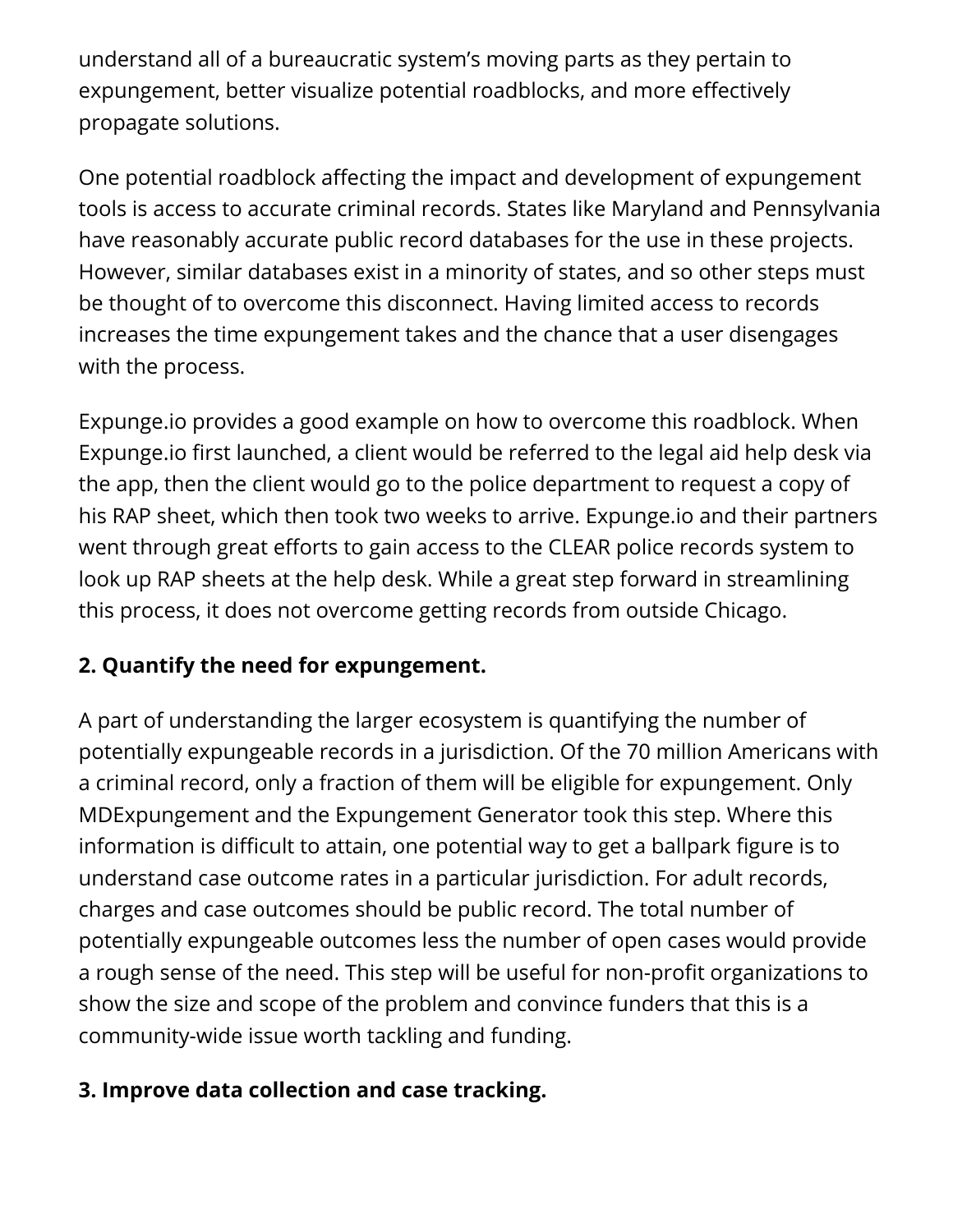understand all of a bureaucratic system's moving parts as they pertain to expungement, better visualize potential roadblocks, and more effectively propagate solutions.

One potential roadblock affecting the impact and development of expungement tools is access to accurate criminal records. States like Maryland and Pennsylvania have reasonably accurate public record databases for the use in these projects. However, similar databases exist in a minority of states, and so other steps must be thought of to overcome this disconnect. Having limited access to records increases the time expungement takes and the chance that a user disengages with the process.

Expunge.io provides a good example on how to overcome this roadblock. When Expunge.io first launched, a client would be referred to the legal aid help desk via the app, then the client would go to the police department to request a copy of his RAP sheet, which then took two weeks to arrive. Expunge.io and their partners went through great efforts to gain access to the CLEAR police records system to look up RAP sheets at the help desk. While a great step forward in streamlining this process, it does not overcome getting records from outside Chicago.

#### **2. Quantify the need for expungement.**

A part of understanding the larger ecosystem is quantifying the number of potentially expungeable records in a jurisdiction. Of the 70 million Americans with a criminal record, only a fraction of them will be eligible for expungement. Only MDExpungement and the Expungement Generator took this step. Where this information is difficult to attain, one potential way to get a ballpark figure is to understand case outcome rates in a particular jurisdiction. For adult records, charges and case outcomes should be public record. The total number of potentially expungeable outcomes less the number of open cases would provide a rough sense of the need. This step will be useful for non-profit organizations to show the size and scope of the problem and convince funders that this is a community-wide issue worth tackling and funding.

#### **3. Improve data collection and case tracking.**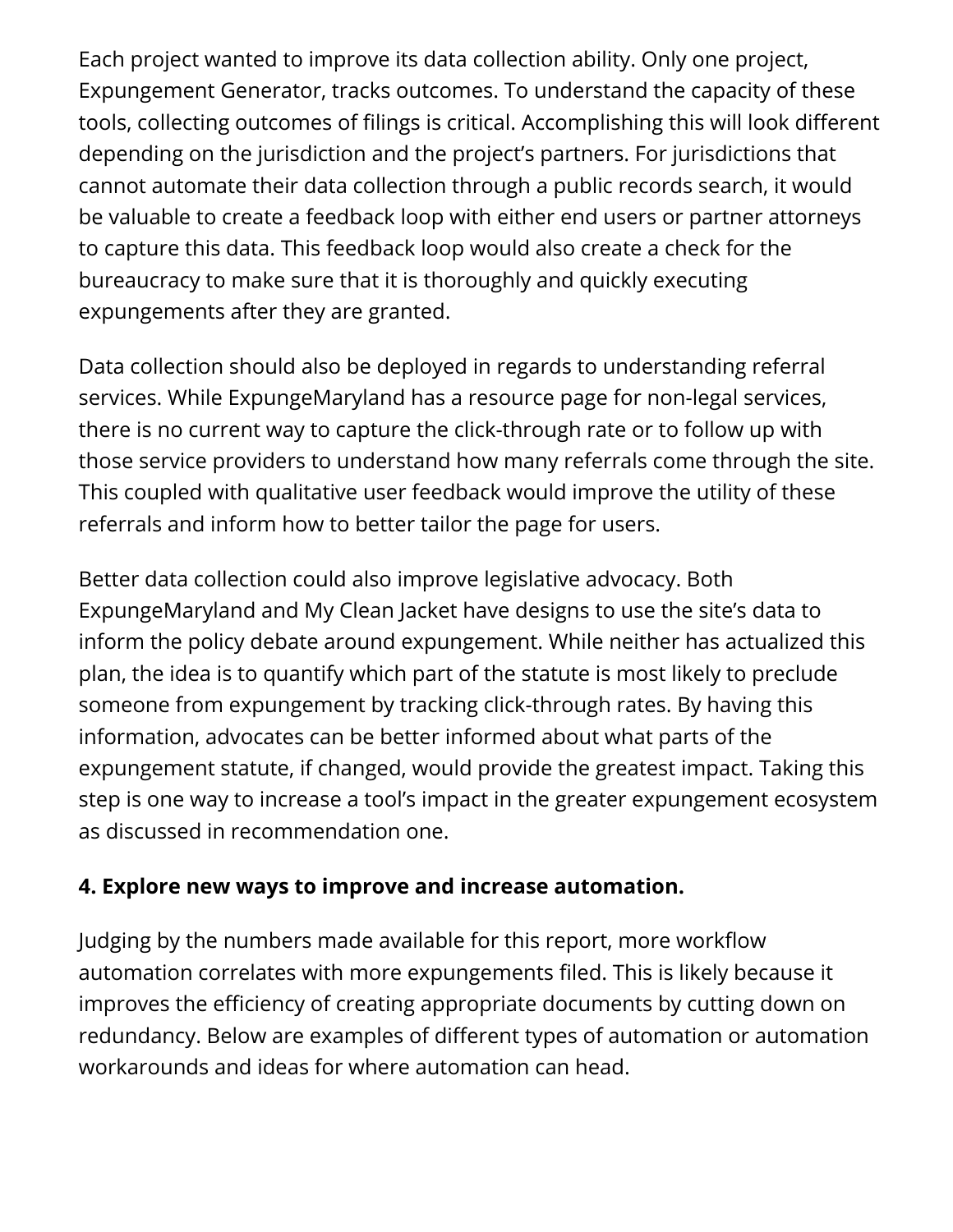Each project wanted to improve its data collection ability. Only one project, Expungement Generator, tracks outcomes. To understand the capacity of these tools, collecting outcomes of filings is critical. Accomplishing this will look different depending on the jurisdiction and the project's partners. For jurisdictions that cannot automate their data collection through a public records search, it would be valuable to create a feedback loop with either end users or partner attorneys to capture this data. This feedback loop would also create a check for the bureaucracy to make sure that it is thoroughly and quickly executing expungements after they are granted.

Data collection should also be deployed in regards to understanding referral services. While ExpungeMaryland has a resource page for non-legal services, there is no current way to capture the click-through rate or to follow up with those service providers to understand how many referrals come through the site. This coupled with qualitative user feedback would improve the utility of these referrals and inform how to better tailor the page for users.

Better data collection could also improve legislative advocacy. Both ExpungeMaryland and My Clean Jacket have designs to use the site's data to inform the policy debate around expungement. While neither has actualized this plan, the idea is to quantify which part of the statute is most likely to preclude someone from expungement by tracking click-through rates. By having this information, advocates can be better informed about what parts of the expungement statute, if changed, would provide the greatest impact. Taking this step is one way to increase a tool's impact in the greater expungement ecosystem as discussed in recommendation one.

#### **4. Explore new ways to improve and increase automation.**

Judging by the numbers made available for this report, more workflow automation correlates with more expungements filed. This is likely because it improves the efficiency of creating appropriate documents by cutting down on redundancy. Below are examples of different types of automation or automation workarounds and ideas for where automation can head.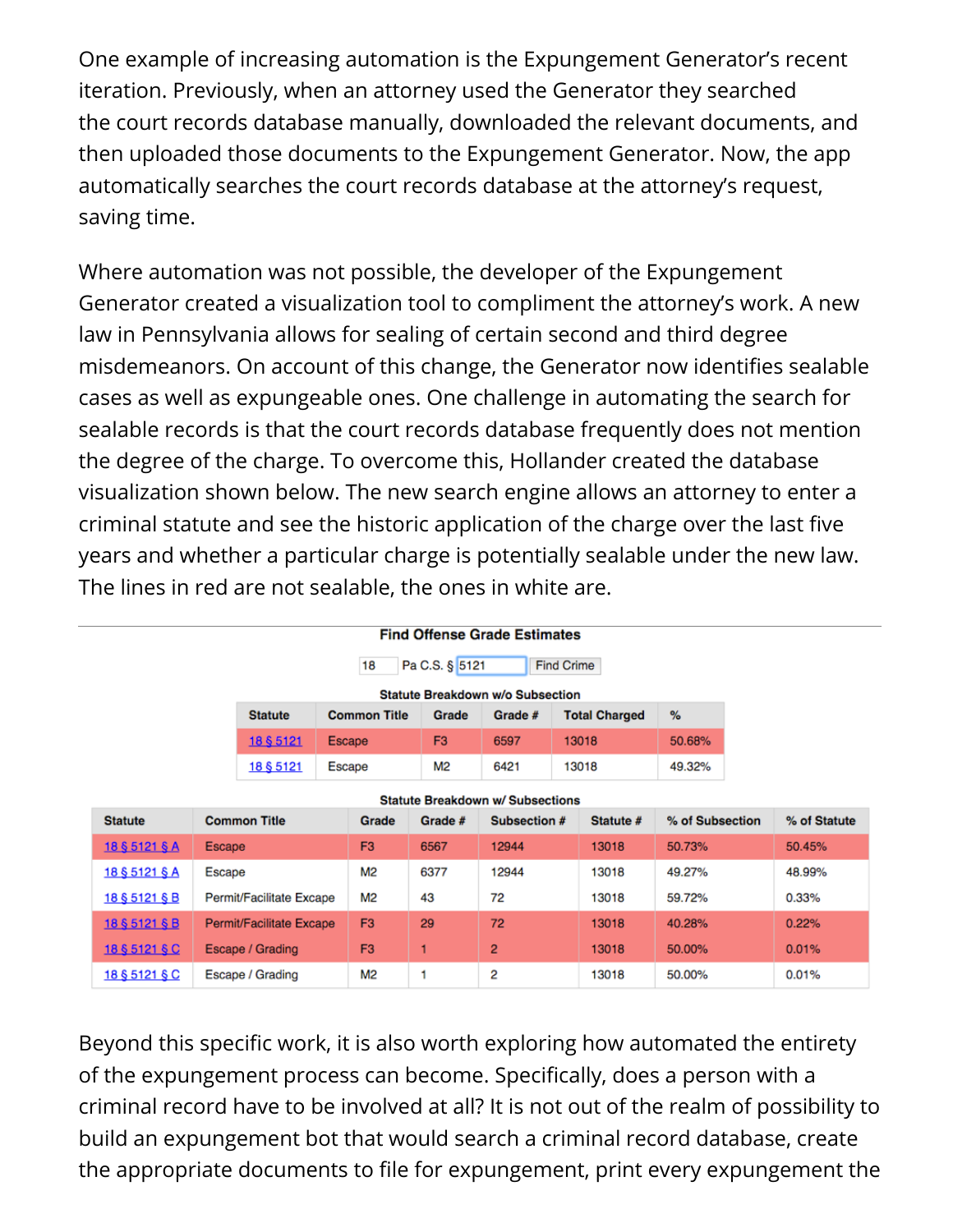One example of increasing automation is the Expungement Generator's recent iteration. Previously, when an attorney used the Generator they searched the court records database manually, downloaded the relevant documents, and then uploaded those documents to the Expungement Generator. Now, the app automatically searches the court records database at the attorney's request, saving time.

Where automation was not possible, the developer of the Expungement Generator created a visualization tool to compliment the attorney's work. A new law in Pennsylvania allows for sealing of certain second and third degree misdemeanors. On account of this change, the Generator now identifies sealable cases as well as expungeable ones. One challenge in automating the search for sealable records is that the court records database frequently does not mention the degree of the charge. To overcome this, Hollander created the database visualization shown below. The new search engine allows an attorney to enter a criminal statute and see the historic application of the charge over the last five years and whether a particular charge is potentially sealable under the new law. The lines in red are not sealable, the ones in white are.

| <b>Find Offense Grade Estimates</b>       |                          |                     |                |                |                |                      |                 |           |                 |        |              |
|-------------------------------------------|--------------------------|---------------------|----------------|----------------|----------------|----------------------|-----------------|-----------|-----------------|--------|--------------|
| Pa C.S. § 5121<br><b>Find Crime</b><br>18 |                          |                     |                |                |                |                      |                 |           |                 |        |              |
| <b>Statute Breakdown w/o Subsection</b>   |                          |                     |                |                |                |                      |                 |           |                 |        |              |
| <b>Statute</b>                            |                          | <b>Common Title</b> |                | Grade          | Grade #        | <b>Total Charged</b> |                 | %         |                 |        |              |
| 18 \$ 5121                                |                          | <b>Escape</b>       |                | F <sub>3</sub> | 6597           | 13018                |                 | 50.68%    |                 |        |              |
| 18 § 5121                                 |                          | <b>Escape</b>       |                | M2             | 6421           | 13018                |                 | 49.32%    |                 |        |              |
| <b>Statute Breakdown w/ Subsections</b>   |                          |                     |                |                |                |                      |                 |           |                 |        |              |
| <b>Statute</b>                            | <b>Common Title</b>      |                     |                | Grade          | Grade #        | Subsection #         |                 | Statute # | % of Subsection |        | % of Statute |
| 18 § 5121 § A                             | Escape                   |                     |                | F <sub>3</sub> | 6567           | 12944                |                 | 13018     | 50.73%          |        | 50.45%       |
| 18 § 5121 § A                             | Escape                   |                     | M2             | 6377           | 12944          |                      | 13018           | 49.27%    |                 | 48.99% |              |
| 18 § 5121 § B                             | Permit/Facilitate Excape |                     | M2             | 43             | 72             |                      | 13018<br>59.72% |           |                 | 0.33%  |              |
| 18 § 5121 § B                             | Permit/Facilitate Excape |                     | F <sub>3</sub> | 29             | 72             |                      | 13018<br>40.28% |           |                 | 0.22%  |              |
| 18 § 5121 § C                             | Escape / Grading         |                     | F <sub>3</sub> | 1              | $\overline{2}$ |                      | 13018           | 50.00%    |                 | 0.01%  |              |
| 18 § 5121 § C                             | Escape / Grading         |                     | M2             | 1              | 2              |                      | 13018<br>50.00% |           |                 | 0.01%  |              |

Beyond this specific work, it is also worth exploring how automated the entirety of the expungement process can become. Specifically, does a person with a criminal record have to be involved at all? It is not out of the realm of possibility to build an expungement bot that would search a criminal record database, create the appropriate documents to file for expungement, print every expungement the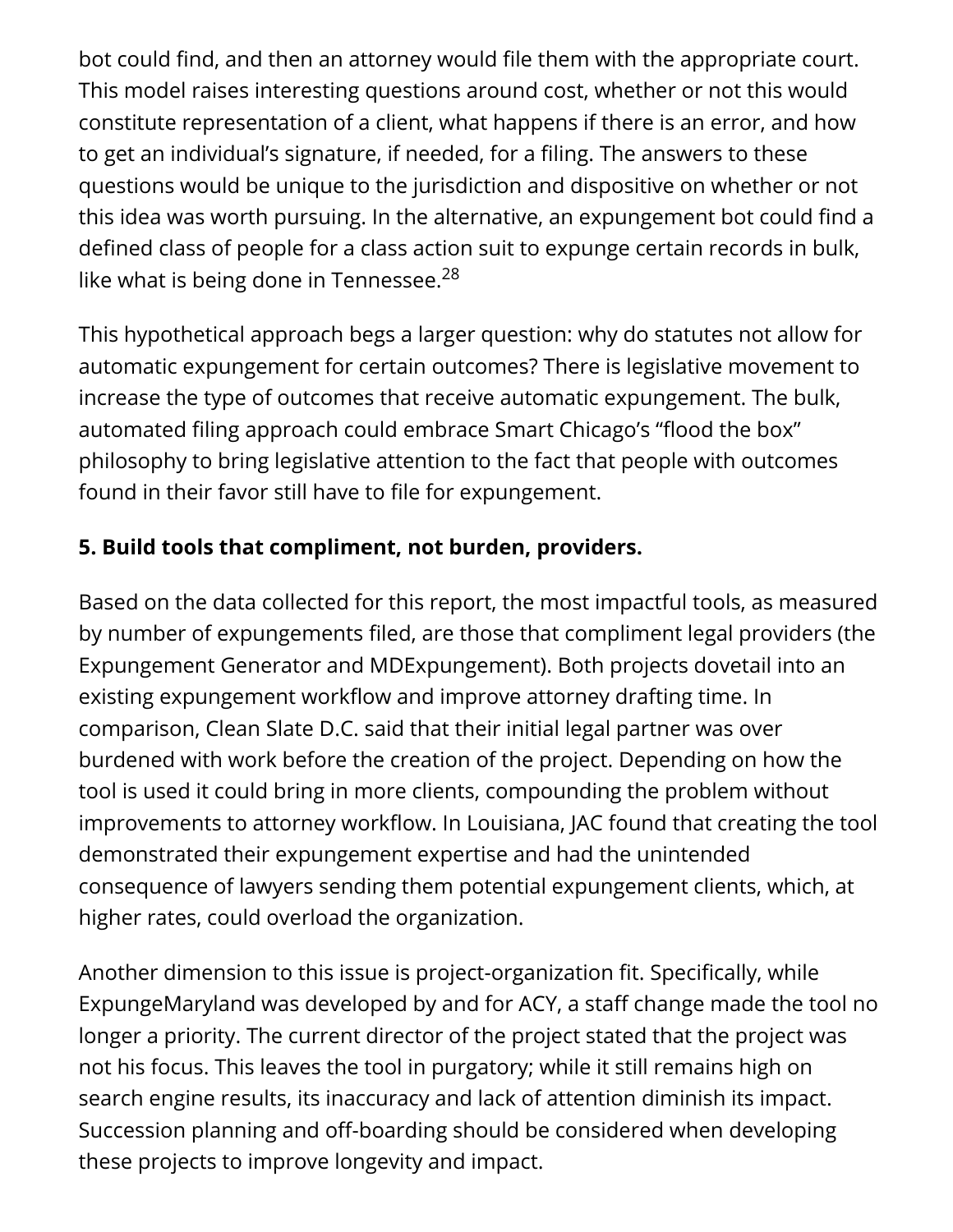bot could find, and then an attorney would file them with the appropriate court. This model raises interesting questions around cost, whether or not this would constitute representation of a client, what happens if there is an error, and how to get an individual's signature, if needed, for a filing. The answers to these questions would be unique to the jurisdiction and dispositive on whether or not this idea was worth pursuing. In the alternative, an expungement bot could find a defined class of people for a class action suit to expunge certain records in bulk, like what is being done in Tennessee. $^{28}$ 

This hypothetical approach begs a larger question: why do statutes not allow for automatic expungement for certain outcomes? There is legislative movement to increase the type of outcomes that receive automatic expungement. The bulk, automated filing approach could embrace Smart Chicago's "flood the box" philosophy to bring legislative attention to the fact that people with outcomes found in their favor still have to file for expungement.

### **5. Build tools that compliment, not burden, providers.**

Based on the data collected for this report, the most impactful tools, as measured by number of expungements filed, are those that compliment legal providers (the Expungement Generator and MDExpungement). Both projects dovetail into an existing expungement workflow and improve attorney drafting time. In comparison, Clean Slate D.C. said that their initial legal partner was over burdened with work before the creation of the project. Depending on how the tool is used it could bring in more clients, compounding the problem without improvements to attorney workflow. In Louisiana, JAC found that creating the tool demonstrated their expungement expertise and had the unintended consequence of lawyers sending them potential expungement clients, which, at higher rates, could overload the organization.

Another dimension to this issue is project-organization fit. Specifically, while ExpungeMaryland was developed by and for ACY, a staff change made the tool no longer a priority. The current director of the project stated that the project was not his focus. This leaves the tool in purgatory; while it still remains high on search engine results, its inaccuracy and lack of attention diminish its impact. Succession planning and off-boarding should be considered when developing these projects to improve longevity and impact.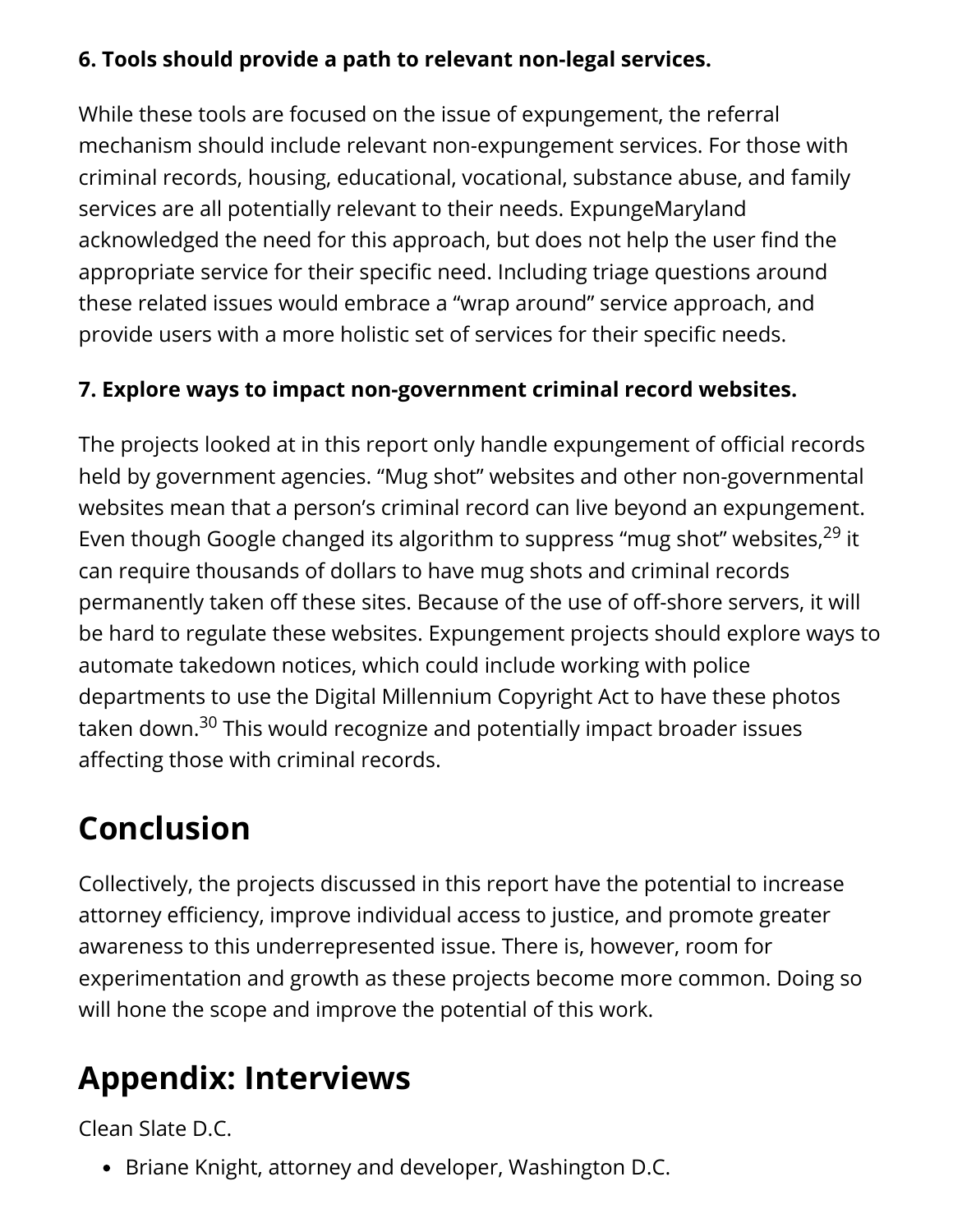#### **6. Tools should provide a path to relevant non-legal services.**

While these tools are focused on the issue of expungement, the referral mechanism should include relevant non-expungement services. For those with criminal records, housing, educational, vocational, substance abuse, and family services are all potentially relevant to their needs. ExpungeMaryland acknowledged the need for this approach, but does not help the user find the appropriate service for their specific need. Including triage questions around these related issues would embrace a "wrap around" service approach, and provide users with a more holistic set of services for their specific needs.

### **7. Explore ways to impact non-government criminal record websites.**

The projects looked at in this report only handle expungement of official records held by government agencies. "Mug shot" websites and other non-governmental websites mean that a person's criminal record can live beyond an expungement. Even though Google changed its algorithm to suppress "mug shot" websites,<sup>29</sup> it can require thousands of dollars to have mug shots and criminal records permanently taken off these sites. Because of the use of off-shore servers, it will be hard to regulate these websites. Expungement projects should explore ways to automate takedown notices, which could include working with police departments to use the Digital Millennium Copyright Act to have these photos taken down.<sup>30</sup> This would recognize and potentially impact broader issues affecting those with criminal records.

# **Conclusion**

Collectively, the projects discussed in this report have the potential to increase attorney efficiency, improve individual access to justice, and promote greater awareness to this underrepresented issue. There is, however, room for experimentation and growth as these projects become more common. Doing so will hone the scope and improve the potential of this work.

# **Appendix: Interviews**

Clean Slate D.C.

• Briane Knight, attorney and developer, Washington D.C.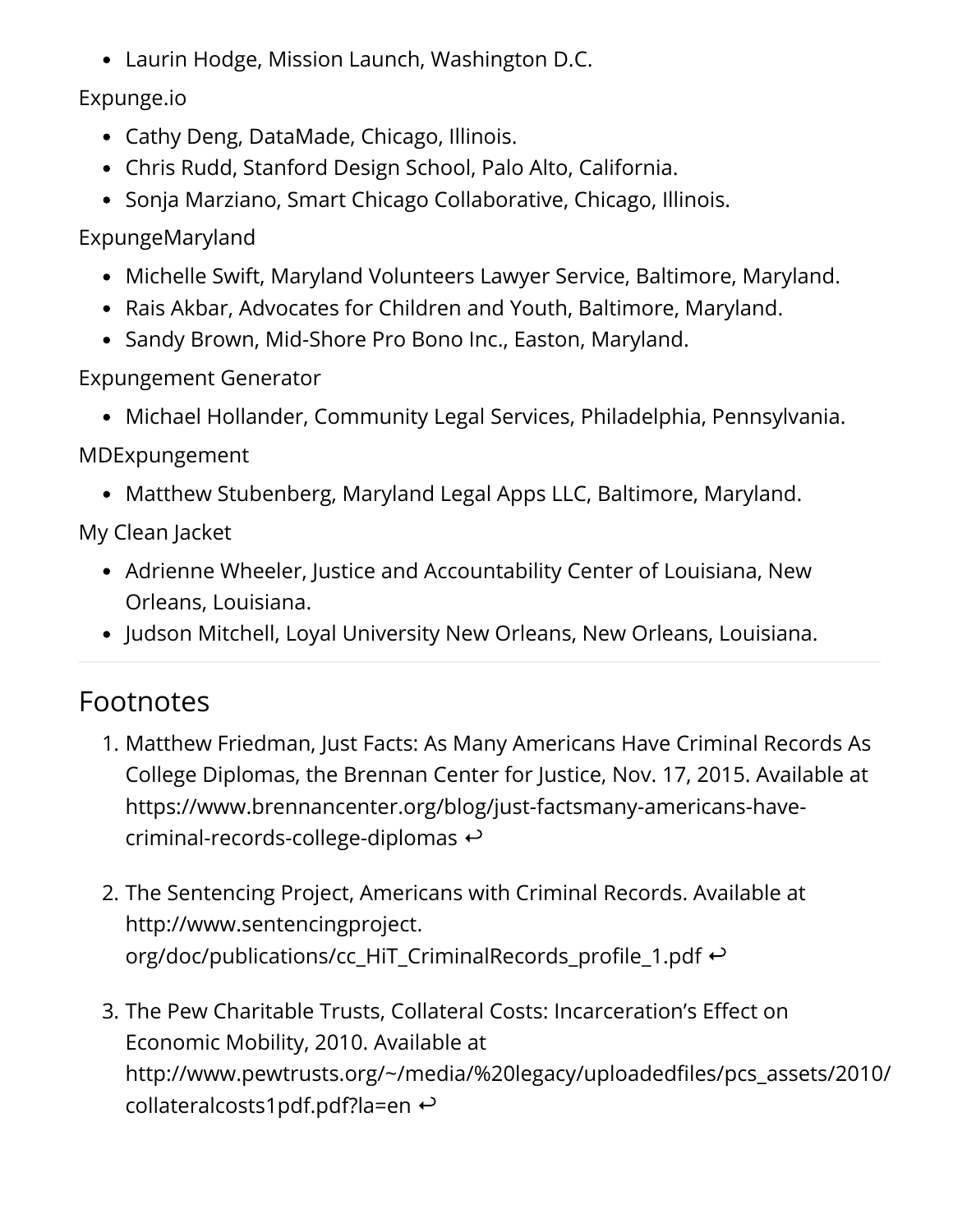Laurin Hodge, Mission Launch, Washington D.C.

Expunge.io

- Cathy Deng, DataMade, Chicago, Illinois.
- Chris Rudd, Stanford Design School, Palo Alto, California.
- Sonja Marziano, Smart Chicago Collaborative, Chicago, Illinois.

ExpungeMaryland

- Michelle Swift, Maryland Volunteers Lawyer Service, Baltimore, Maryland.
- Rais Akbar, Advocates for Children and Youth, Baltimore, Maryland.
- Sandy Brown, Mid-Shore Pro Bono Inc., Easton, Maryland.

Expungement Generator

Michael Hollander, Community Legal Services, Philadelphia, Pennsylvania.

MDExpungement

Matthew Stubenberg, Maryland Legal Apps LLC, Baltimore, Maryland.

My Clean Jacket

- Adrienne Wheeler, Justice and Accountability Center of Louisiana, New Orleans, Louisiana.
- Judson Mitchell, Loyal University New Orleans, New Orleans, Louisiana.

# Footnotes

- 1. Matthew Friedman, Just Facts: As Many Americans Have Criminal Records As College Diplomas, the Brennan Center for Justice, Nov. 17, 2015. Available at https://www.brennancenter.org/blog/just-factsmany-americans-havecriminal-records-college-diplomas  $\leftrightarrow$
- 2. The Sentencing Project, Americans with Criminal Records. Available at http://www.sentencingproject. org/doc/publications/cc\_HiT\_CriminalRecords\_profile\_1.pdf  $\leftrightarrow$
- 3. The Pew Charitable Trusts, Collateral Costs: Incarceration's Effect on Economic Mobility, 2010. Available at http://www.pewtrusts.org/~/media/%20legacy/uploadedfiles/pcs\_assets/2010/ collateralcosts1pdf.pdf?la=en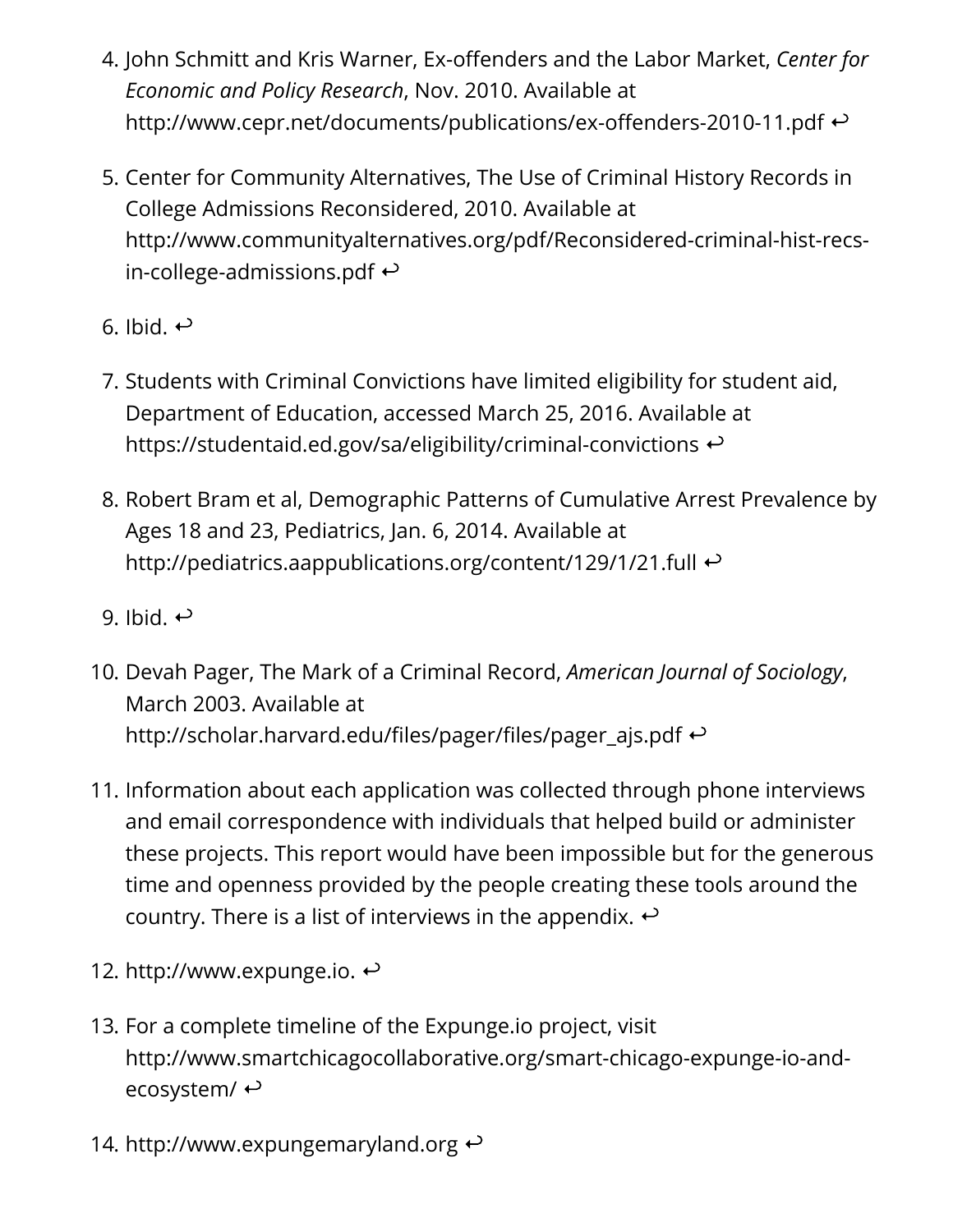- 4. John Schmitt and Kris Warner, Ex-offenders and the Labor Market, *Center for Economic and Policy Research*, Nov. 2010. Available at http://www.cepr.net/documents/publications/ex-offenders-2010-11.pdf  $\leftrightarrow$
- 5. Center for Community Alternatives, The Use of Criminal History Records in College Admissions Reconsidered, 2010. Available at http://www.communityalternatives.org/pdf/Reconsidered-criminal-hist-recsin-college-admissions.pdf  $\leftrightarrow$
- 6. Ibid.  $\leftrightarrow$
- 7. Students with Criminal Convictions have limited eligibility for student aid, Department of Education, accessed March 25, 2016. Available at https://studentaid.ed.gov/sa/eligibility/criminal-convictions  $\leftrightarrow$
- 8. Robert Bram et al, Demographic Patterns of Cumulative Arrest Prevalence by Ages 18 and 23, Pediatrics, Jan. 6, 2014. Available at http://pediatrics.aappublications.org/content/129/1/21.full  $\leftrightarrow$
- 9. Ibid.  $\leftrightarrow$
- 10. Devah Pager, The Mark of a Criminal Record, *American Journal of Sociology*, March 2003. Available at http://scholar.harvard.edu/files/pager/files/pager\_ajs.pdf  $\leftrightarrow$
- 11. Information about each application was collected through phone interviews and email correspondence with individuals that helped build or administer these projects. This report would have been impossible but for the generous time and openness provided by the people creating these tools around the country. There is a list of interviews in the appendix.  $\leftrightarrow$
- 12. http://www.expunge.io.  $\leftrightarrow$
- 13. For a complete timeline of the Expunge.io project, visit http://www.smartchicagocollaborative.org/smart-chicago-expunge-io-andecosystem/ $\leftrightarrow$
- 14. http://www.expungemaryland.org  $\leftrightarrow$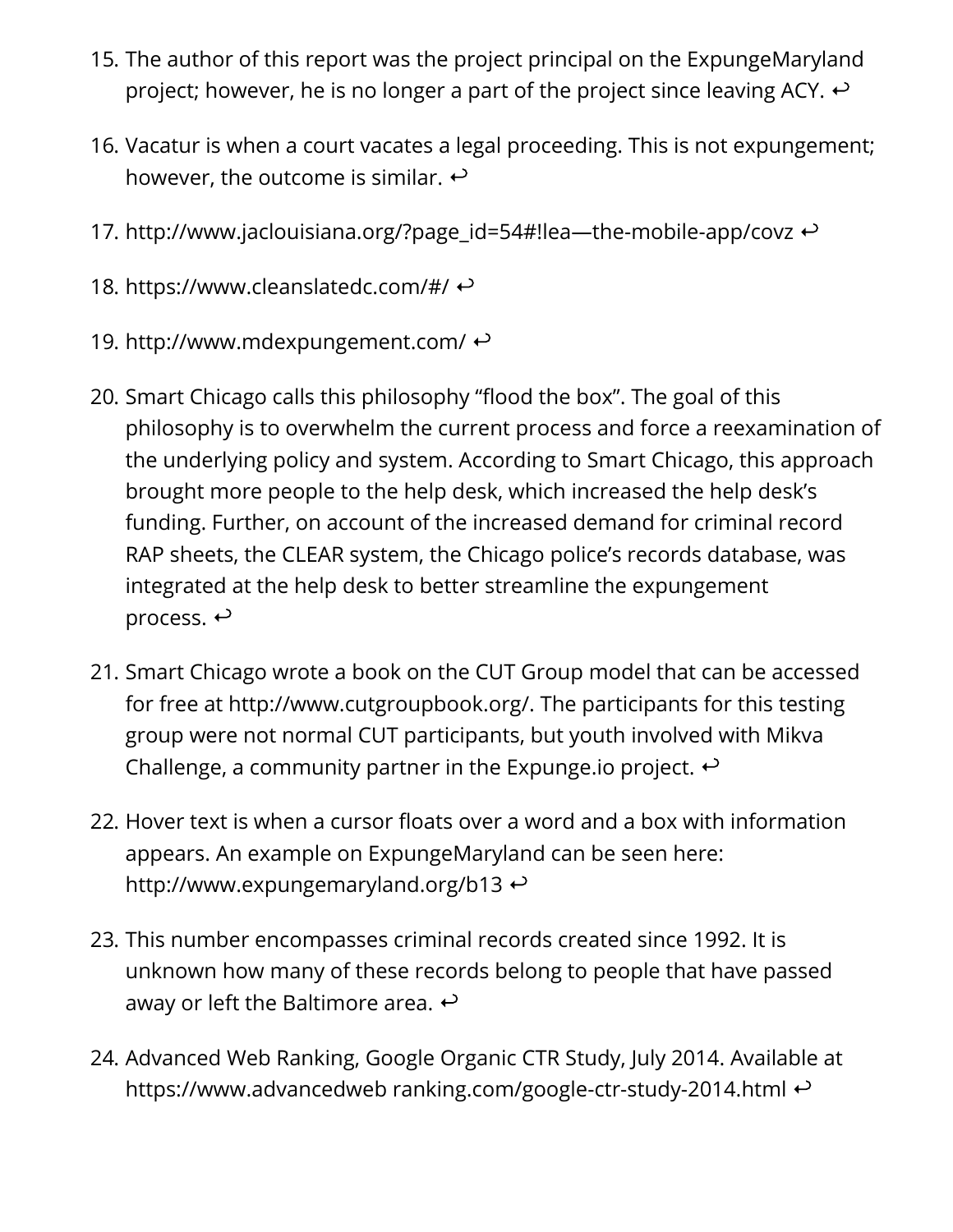- 15. The author of this report was the project principal on the ExpungeMaryland project; however, he is no longer a part of the project since leaving ACY.  $\leftrightarrow$
- 16. Vacatur is when a court vacates a legal proceeding. This is not expungement; however, the outcome is similar.  $\leftrightarrow$
- 17. http://www.jaclouisiana.org/?page\_id=54#!lea—the-mobile-app/covz  $\leftrightarrow$
- 18. https://www.cleanslatedc.com/#/ ↔
- 19. http://www.mdexpungement.com/ $\leftrightarrow$
- 20. Smart Chicago calls this philosophy "flood the box". The goal of this philosophy is to overwhelm the current process and force a reexamination of the underlying policy and system. According to Smart Chicago, this approach brought more people to the help desk, which increased the help desk's funding. Further, on account of the increased demand for criminal record RAP sheets, the CLEAR system, the Chicago police's records database, was integrated at the help desk to better streamline the expungement process.  $\leftrightarrow$
- 21. Smart Chicago wrote a book on the CUT Group model that can be accessed for free at http://www.cutgroupbook.org/. The participants for this testing group were not normal CUT participants, but youth involved with Mikva Challenge, a community partner in the Expunge.io project.  $\leftrightarrow$
- 22. Hover text is when a cursor floats over a word and a box with information appears. An example on ExpungeMaryland can be seen here: http://www.expungemaryland.org/b13
- 23. This number encompasses criminal records created since 1992. It is unknown how many of these records belong to people that have passed away or left the Baltimore area.  $\leftrightarrow$
- 24. Advanced Web Ranking, Google Organic CTR Study, July 2014. Available at https://www.advancedweb ranking.com/google-ctr-study-2014.html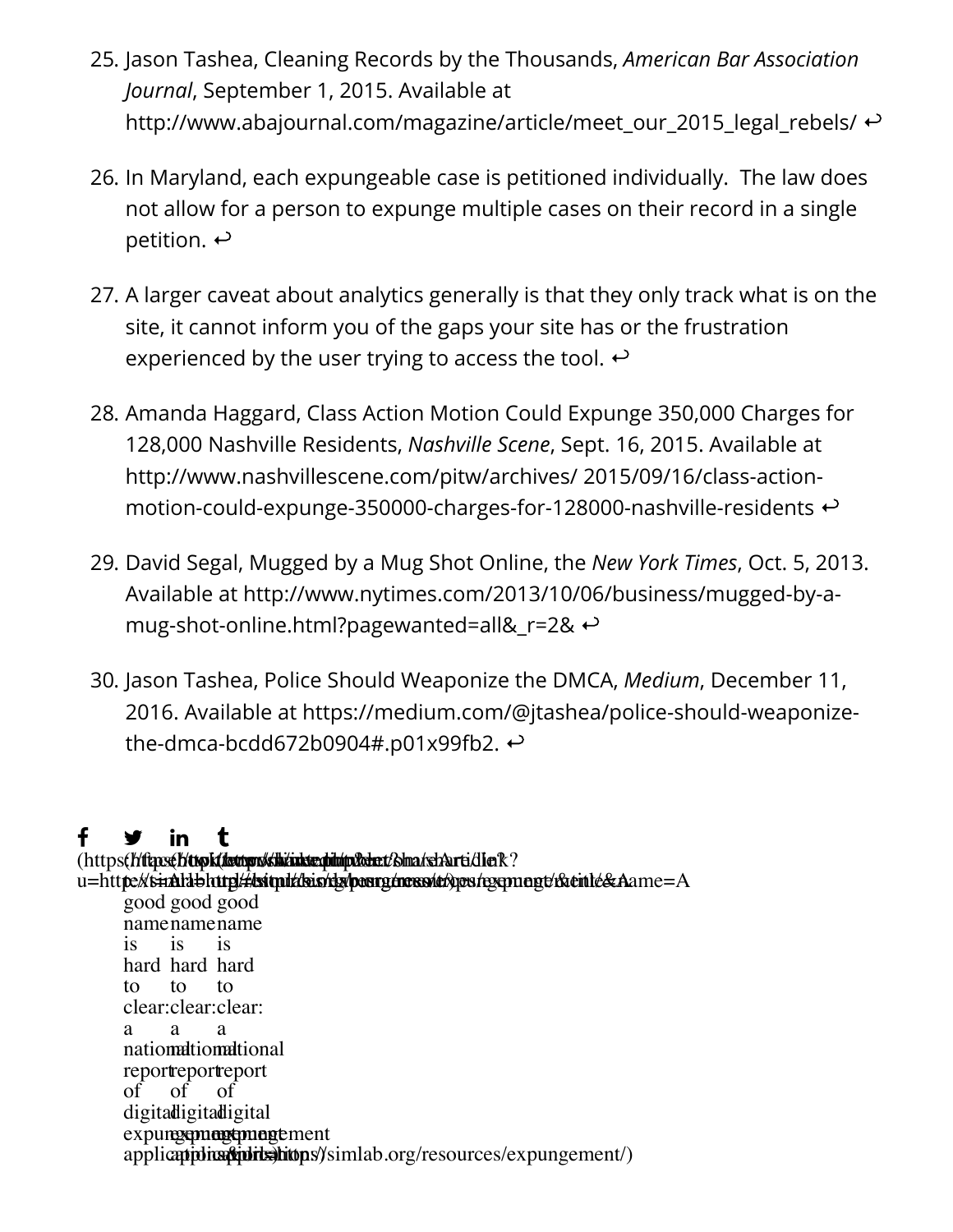- 25. Jason Tashea, Cleaning Records by the Thousands, *American Bar Association Journal*, September 1, 2015. Available at http://www.abajournal.com/magazine/article/meet our 2015 legal rebels/  $\leftrightarrow$
- 26. In Maryland, each expungeable case is petitioned individually. The law does not allow for a person to expunge multiple cases on their record in a single petition.  $\leftrightarrow$
- 27. A larger caveat about analytics generally is that they only track what is on the site, it cannot inform you of the gaps your site has or the frustration experienced by the user trying to access the tool.  $\leftrightarrow$
- 28. Amanda Haggard, Class Action Motion Could Expunge 350,000 Charges for 128,000 Nashville Residents, *Nashville Scene*, Sept. 16, 2015. Available at http://www.nashvillescene.com/pitw/archives/ 2015/09/16/class-actionmotion-could-expunge-350000-charges-for-128000-nashville-residents
- 29. David Segal, Mugged by a Mug Shot Online, the *New York Times*, Oct. 5, 2013. Available at http://www.nytimes.com/2013/10/06/business/mugged-by-amug-shot-online.html?pagewanted=all&\_r=2&
- 30. Jason Tashea, Police Should Weaponize the DMCA, *Medium*, December 11, 2016. Available at https://medium.com/@jtashea/police-should-weaponizethe-dmca-bcdd672b0904#.p01x99fb2.  $\leftrightarrow$

#### f ã Ŭ

(https**(//ftp:s(//ttpk(/lsttpr//sh/inkte.ph/n/p//xbe.t/S/m**a/shArti/dlerR? u=htt**p://simalab.http///ksimil/dsis/dy/pesrg/ness/e/**ges/rgsqmagt/r&tinle&Aame=A good good good name name name is hard hard hard to clear: clear: clear: a national national national reportreport of digita**d**igital expun**gement** ment applicapiplica phits and the proportion of the sources of  $\epsilon$  applications applications applications and  $\epsilon$ is to a of is to a of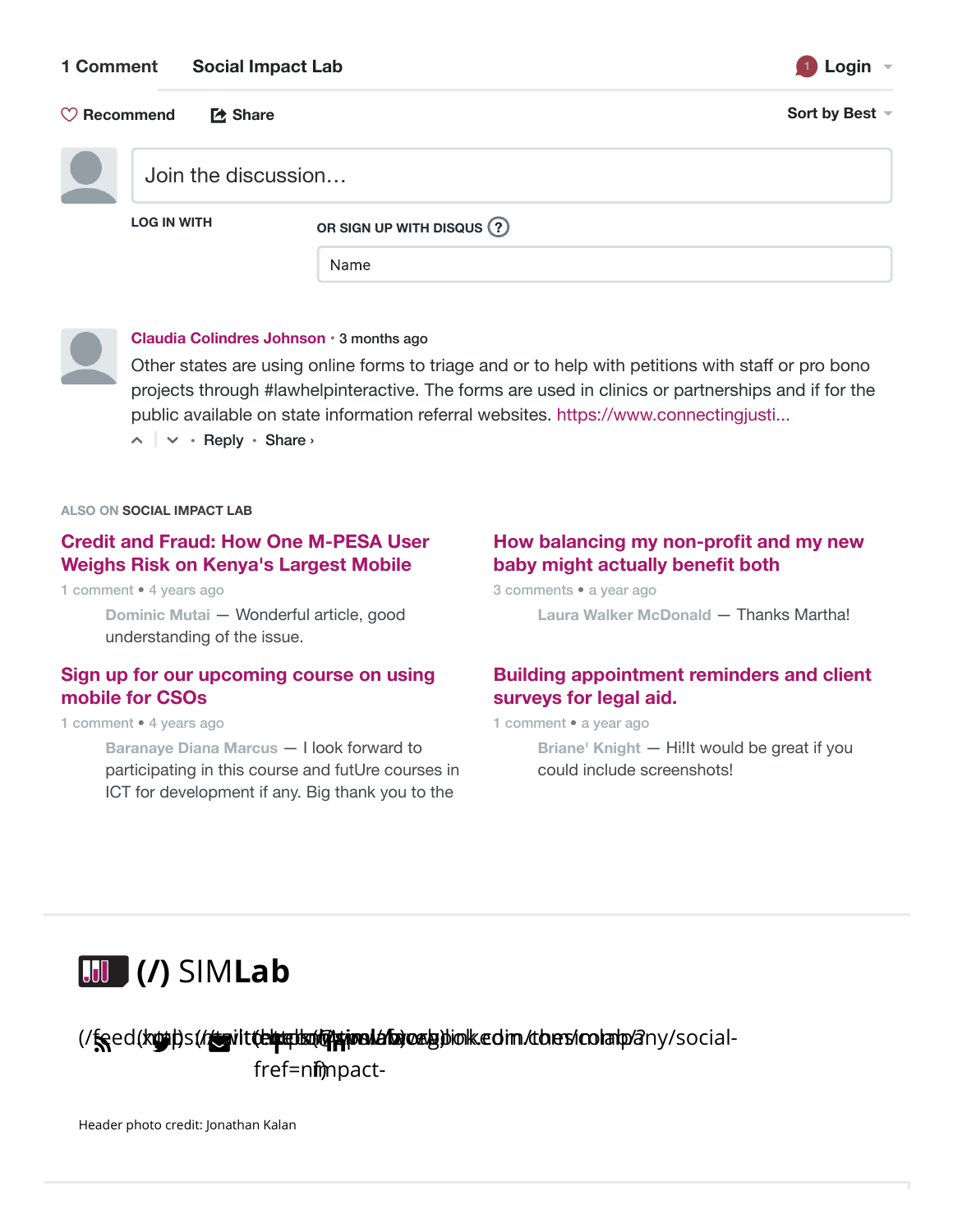#### **1 Comment Social Impact Lab <sup>1</sup> Login**

| ∟oaın |  |
|-------|--|
|       |  |

| $\heartsuit$ Recommend | [2 Share            |                          | Sort by Best - |
|------------------------|---------------------|--------------------------|----------------|
|                        | Join the discussion |                          |                |
| <b>LOG IN WITH</b>     |                     | OR SIGN UP WITH DISQUS ? |                |
|                        |                     | Name                     |                |



#### **Claudia Colindres Johnson** • 3 months ago

Other states are using online forms to triage and or to help with petitions with staff or pro bono projects through #lawhelpinteractive. The forms are used in clinics or partnerships and if for the public available on state information referral websites. https://www.connectingjusti...

 $\sim$   $\sim$   $\cdot$  Reply  $\cdot$  Share  $\sim$ 

**ALSO ON SOCIAL IMPACT LAB**

#### **Credit and Fraud: How One M-PESA User Weighs Risk on Kenya's Largest Mobile**

1 comment • 4 years ago

**Dominic Mutai** — Wonderful article, good understanding of the issue.

#### **Sign up for our upcoming course on using mobile for CSOs**

1 comment • 4 years ago

**Baranaye Diana Marcus** — I look forward to participating in this course and futUre courses in ICT for development if any. Big thank you to the

#### **How balancing my non-profit and my new baby might actually benefit both**

3 comments • a year ago

**Laura Walker McDonald** — Thanks Martha!

#### **Building appointment reminders and client surveys for legal aid.**

1 comment • a year ago

**Briane' Knight** — Hi!It would be great if you could include screenshots!

# **(/)** SIM**Lab**

(/**fs**ed(k**g))s(//witter.html/ab/attime/aftine/aft**ime/ab/attim/thes/colatp/2ny/socialfref=nimmpact-

Header photo credit: Jonathan Kalan